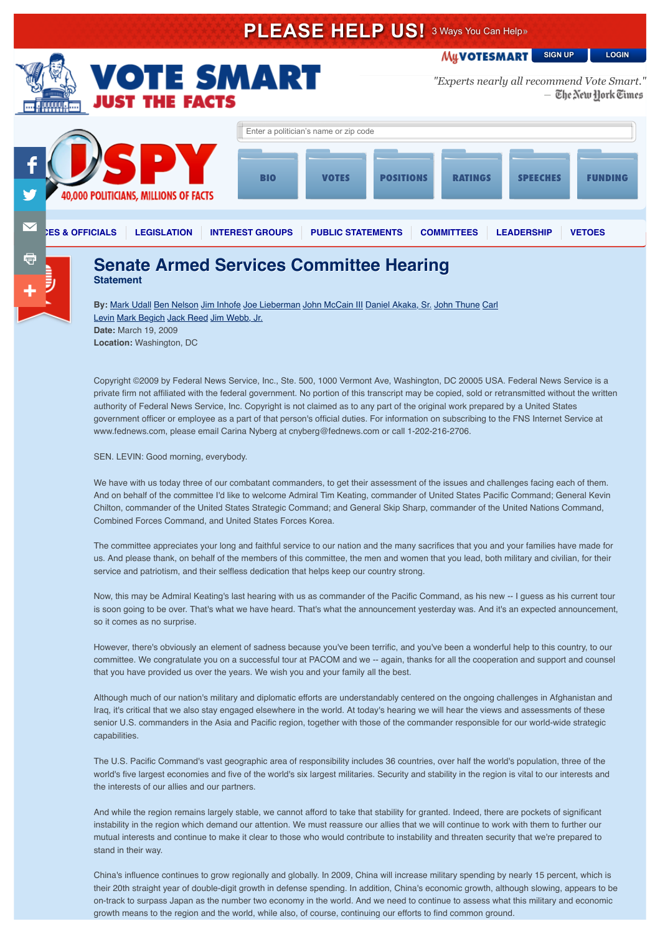# **PLEASE HELP US!** 3 Ways You Can Help» **MyVOTESMART [SIGN UP](https://votesmart.org/login#signup) [LOGIN](https://votesmart.org/login) OTE SMART** *"Experts nearly all recommend Vote Smart."*— The New York Times Enter a politician's name or zip code BIO VOTES POSITIONS RATINGS SPEECHES FUNDING 40,000 POLITICIANS, MILLIONS OF FACTS **[OFFICES & OFFICIALS](https://votesmart.org/officials) [LEGISLATION](https://votesmart.org/bills) [INTEREST GROUPS](https://votesmart.org/interest-groups) [PUBLIC STATEMENTS](https://votesmart.org/public-statements) [COMMITTEES](https://votesmart.org/offices/committees) [LEADERSHIP](https://votesmart.org/offices/leadership) [VETOES](https://votesmart.org/vetoes)** a

## **Senate Armed Services Committee Hearing Senate Armed Services Committee Hearing**

**Statement**

**By:** [Mark Udall](https://votesmart.org/candidate/public-statements/12329/mark-udall) [Ben Nelson](https://votesmart.org/candidate/public-statements/21744/ben-nelson) [Jim Inhofe](https://votesmart.org/candidate/public-statements/27027/jim-inhofe) [Joe Lieberman](https://votesmart.org/candidate/public-statements/53278/joe-lieberman) [John McCain III](https://votesmart.org/candidate/public-statements/53270/john-mccain-iii) [Daniel Akaka, Sr.](https://votesmart.org/candidate/public-statements/53307/carl-levin) [John Thune](https://votesmart.org/candidate/public-statements/398/john-thune) Carl Levin [Mark Begich](https://votesmart.org/candidate/public-statements/79426/mark-begich) [Jack Reed](https://votesmart.org/candidate/public-statements/27060/jack-reed) [Jim Webb, Jr.](https://votesmart.org/candidate/public-statements/60043/jim-webb-jr) **Date:** March 19, 2009 **Location:** Washington, DC

Copyright ©2009 by Federal News Service, Inc., Ste. 500, 1000 Vermont Ave, Washington, DC 20005 USA. Federal News Service is a private firm not affiliated with the federal government. No portion of this transcript may be copied, sold or retransmitted without the written authority of Federal News Service, Inc. Copyright is not claimed as to any part of the original work prepared by a United States government officer or employee as a part of that person's official duties. For information on subscribing to the FNS Internet Service at www.fednews.com, please email Carina Nyberg at cnyberg@fednews.com or call 1-202-216-2706.

SEN. LEVIN: Good morning, everybody.

We have with us today three of our combatant commanders, to get their assessment of the issues and challenges facing each of them. And on behalf of the committee I'd like to welcome Admiral Tim Keating, commander of United States Pacific Command; General Kevin Chilton, commander of the United States Strategic Command; and General Skip Sharp, commander of the United Nations Command, Combined Forces Command, and United States Forces Korea.

The committee appreciates your long and faithful service to our nation and the many sacrifices that you and your families have made for us. And please thank, on behalf of the members of this committee, the men and women that you lead, both military and civilian, for their service and patriotism, and their selfless dedication that helps keep our country strong.

Now, this may be Admiral Keating's last hearing with us as commander of the Pacific Command, as his new -- I guess as his current tour is soon going to be over. That's what we have heard. That's what the announcement yesterday was. And it's an expected announcement, so it comes as no surprise.

However, there's obviously an element of sadness because you've been terrific, and you've been a wonderful help to this country, to our committee. We congratulate you on a successful tour at PACOM and we -- again, thanks for all the cooperation and support and counsel that you have provided us over the years. We wish you and your family all the best.

Although much of our nation's military and diplomatic efforts are understandably centered on the ongoing challenges in Afghanistan and Iraq, it's critical that we also stay engaged elsewhere in the world. At today's hearing we will hear the views and assessments of these senior U.S. commanders in the Asia and Pacific region, together with those of the commander responsible for our world-wide strategic capabilities.

The U.S. Pacific Command's vast geographic area of responsibility includes 36 countries, over half the world's population, three of the world's five largest economies and five of the world's six largest militaries. Security and stability in the region is vital to our interests and the interests of our allies and our partners.

And while the region remains largely stable, we cannot afford to take that stability for granted. Indeed, there are pockets of significant instability in the region which demand our attention. We must reassure our allies that we will continue to work with them to further our mutual interests and continue to make it clear to those who would contribute to instability and threaten security that we're prepared to stand in their way.

China's influence continues to grow regionally and globally. In 2009, China will increase military spending by nearly 15 percent, which is their 20th straight year of double-digit growth in defense spending. In addition, China's economic growth, although slowing, appears to be on-track to surpass Japan as the number two economy in the world. And we need to continue to assess what this military and economic growth means to the region and the world, while also, of course, continuing our efforts to find common ground.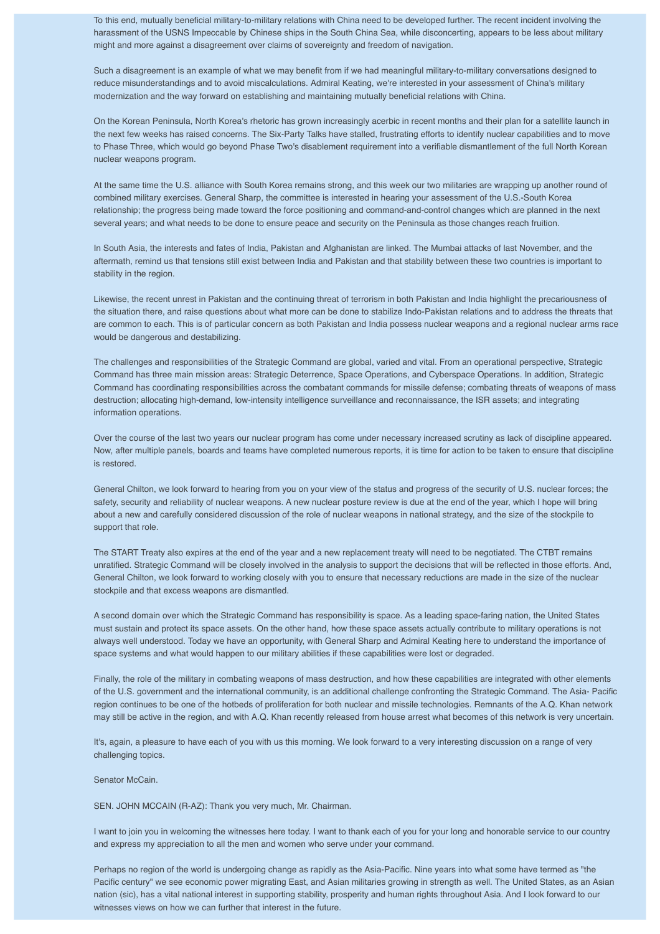To this end, mutually beneficial military-to-military relations with China need to be developed further. The recent incident involving the harassment of the USNS Impeccable by Chinese ships in the South China Sea, while disconcerting, appears to be less about military might and more against a disagreement over claims of sovereignty and freedom of navigation.

Such a disagreement is an example of what we may benefit from if we had meaningful military-to-military conversations designed to reduce misunderstandings and to avoid miscalculations. Admiral Keating, we're interested in your assessment of China's military modernization and the way forward on establishing and maintaining mutually beneficial relations with China.

On the Korean Peninsula, North Korea's rhetoric has grown increasingly acerbic in recent months and their plan for a satellite launch in the next few weeks has raised concerns. The Six-Party Talks have stalled, frustrating efforts to identify nuclear capabilities and to move to Phase Three, which would go beyond Phase Two's disablement requirement into a verifiable dismantlement of the full North Korean nuclear weapons program.

At the same time the U.S. alliance with South Korea remains strong, and this week our two militaries are wrapping up another round of combined military exercises. General Sharp, the committee is interested in hearing your assessment of the U.S.-South Korea relationship; the progress being made toward the force positioning and command-and-control changes which are planned in the next several years; and what needs to be done to ensure peace and security on the Peninsula as those changes reach fruition.

In South Asia, the interests and fates of India, Pakistan and Afghanistan are linked. The Mumbai attacks of last November, and the aftermath, remind us that tensions still exist between India and Pakistan and that stability between these two countries is important to stability in the region.

Likewise, the recent unrest in Pakistan and the continuing threat of terrorism in both Pakistan and India highlight the precariousness of the situation there, and raise questions about what more can be done to stabilize Indo-Pakistan relations and to address the threats that are common to each. This is of particular concern as both Pakistan and India possess nuclear weapons and a regional nuclear arms race would be dangerous and destabilizing.

The challenges and responsibilities of the Strategic Command are global, varied and vital. From an operational perspective, Strategic Command has three main mission areas: Strategic Deterrence, Space Operations, and Cyberspace Operations. In addition, Strategic Command has coordinating responsibilities across the combatant commands for missile defense; combating threats of weapons of mass destruction; allocating high-demand, low-intensity intelligence surveillance and reconnaissance, the ISR assets; and integrating information operations.

Over the course of the last two years our nuclear program has come under necessary increased scrutiny as lack of discipline appeared. Now, after multiple panels, boards and teams have completed numerous reports, it is time for action to be taken to ensure that discipline is restored.

General Chilton, we look forward to hearing from you on your view of the status and progress of the security of U.S. nuclear forces; the safety, security and reliability of nuclear weapons. A new nuclear posture review is due at the end of the year, which I hope will bring about a new and carefully considered discussion of the role of nuclear weapons in national strategy, and the size of the stockpile to support that role.

The START Treaty also expires at the end of the year and a new replacement treaty will need to be negotiated. The CTBT remains unratified. Strategic Command will be closely involved in the analysis to support the decisions that will be reflected in those efforts. And, General Chilton, we look forward to working closely with you to ensure that necessary reductions are made in the size of the nuclear stockpile and that excess weapons are dismantled.

A second domain over which the Strategic Command has responsibility is space. As a leading space-faring nation, the United States must sustain and protect its space assets. On the other hand, how these space assets actually contribute to military operations is not always well understood. Today we have an opportunity, with General Sharp and Admiral Keating here to understand the importance of space systems and what would happen to our military abilities if these capabilities were lost or degraded.

Finally, the role of the military in combating weapons of mass destruction, and how these capabilities are integrated with other elements of the U.S. government and the international community, is an additional challenge confronting the Strategic Command. The Asia- Pacific region continues to be one of the hotbeds of proliferation for both nuclear and missile technologies. Remnants of the A.Q. Khan network may still be active in the region, and with A.Q. Khan recently released from house arrest what becomes of this network is very uncertain.

It's, again, a pleasure to have each of you with us this morning. We look forward to a very interesting discussion on a range of very challenging topics.

Senator McCain.

SEN. JOHN MCCAIN (R-AZ): Thank you very much, Mr. Chairman.

I want to join you in welcoming the witnesses here today. I want to thank each of you for your long and honorable service to our country and express my appreciation to all the men and women who serve under your command.

Perhaps no region of the world is undergoing change as rapidly as the Asia-Pacific. Nine years into what some have termed as "the Pacific century" we see economic power migrating East, and Asian militaries growing in strength as well. The United States, as an Asian nation (sic), has a vital national interest in supporting stability, prosperity and human rights throughout Asia. And I look forward to our witnesses views on how we can further that interest in the future.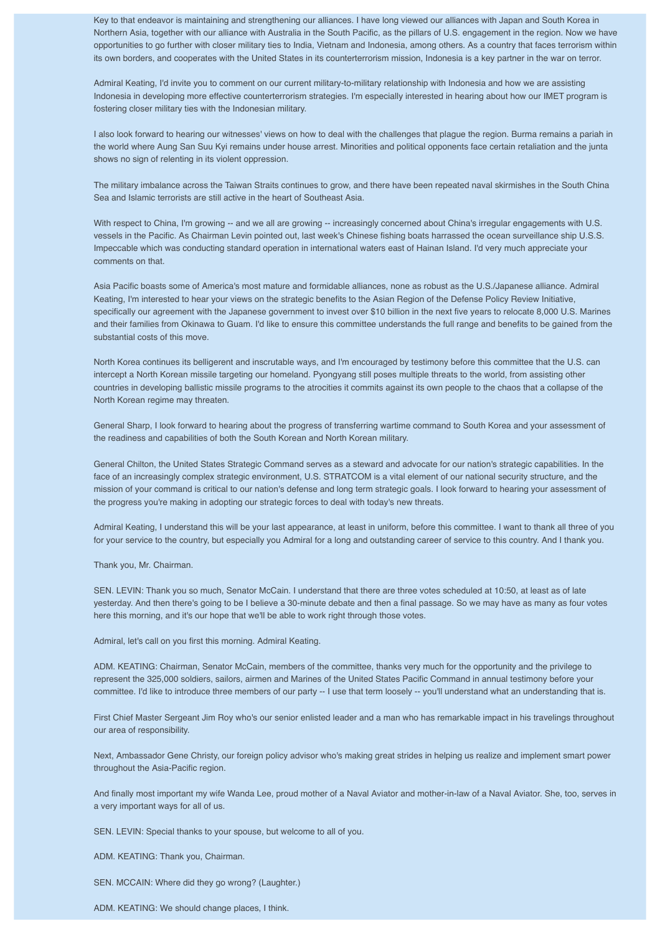Key to that endeavor is maintaining and strengthening our alliances. I have long viewed our alliances with Japan and South Korea in Northern Asia, together with our alliance with Australia in the South Pacific, as the pillars of U.S. engagement in the region. Now we have opportunities to go further with closer military ties to India, Vietnam and Indonesia, among others. As a country that faces terrorism within its own borders, and cooperates with the United States in its counterterrorism mission, Indonesia is a key partner in the war on terror.

Admiral Keating, I'd invite you to comment on our current military-to-military relationship with Indonesia and how we are assisting Indonesia in developing more effective counterterrorism strategies. I'm especially interested in hearing about how our IMET program is fostering closer military ties with the Indonesian military.

I also look forward to hearing our witnesses' views on how to deal with the challenges that plague the region. Burma remains a pariah in the world where Aung San Suu Kyi remains under house arrest. Minorities and political opponents face certain retaliation and the junta shows no sign of relenting in its violent oppression.

The military imbalance across the Taiwan Straits continues to grow, and there have been repeated naval skirmishes in the South China Sea and Islamic terrorists are still active in the heart of Southeast Asia.

With respect to China, I'm growing -- and we all are growing -- increasingly concerned about China's irregular engagements with U.S. vessels in the Pacific. As Chairman Levin pointed out, last week's Chinese fishing boats harrassed the ocean surveillance ship U.S.S. Impeccable which was conducting standard operation in international waters east of Hainan Island. I'd very much appreciate your comments on that.

Asia Pacific boasts some of America's most mature and formidable alliances, none as robust as the U.S./Japanese alliance. Admiral Keating, I'm interested to hear your views on the strategic benefits to the Asian Region of the Defense Policy Review Initiative, specifically our agreement with the Japanese government to invest over \$10 billion in the next five years to relocate 8,000 U.S. Marines and their families from Okinawa to Guam. I'd like to ensure this committee understands the full range and benefits to be gained from the substantial costs of this move.

North Korea continues its belligerent and inscrutable ways, and I'm encouraged by testimony before this committee that the U.S. can intercept a North Korean missile targeting our homeland. Pyongyang still poses multiple threats to the world, from assisting other countries in developing ballistic missile programs to the atrocities it commits against its own people to the chaos that a collapse of the North Korean regime may threaten.

General Sharp, I look forward to hearing about the progress of transferring wartime command to South Korea and your assessment of the readiness and capabilities of both the South Korean and North Korean military.

General Chilton, the United States Strategic Command serves as a steward and advocate for our nation's strategic capabilities. In the face of an increasingly complex strategic environment, U.S. STRATCOM is a vital element of our national security structure, and the mission of your command is critical to our nation's defense and long term strategic goals. I look forward to hearing your assessment of the progress you're making in adopting our strategic forces to deal with today's new threats.

Admiral Keating, I understand this will be your last appearance, at least in uniform, before this committee. I want to thank all three of you for your service to the country, but especially you Admiral for a long and outstanding career of service to this country. And I thank you.

Thank you, Mr. Chairman.

SEN. LEVIN: Thank you so much, Senator McCain. I understand that there are three votes scheduled at 10:50, at least as of late yesterday. And then there's going to be I believe a 30-minute debate and then a final passage. So we may have as many as four votes here this morning, and it's our hope that we'll be able to work right through those votes.

Admiral, let's call on you first this morning. Admiral Keating.

ADM. KEATING: Chairman, Senator McCain, members of the committee, thanks very much for the opportunity and the privilege to represent the 325,000 soldiers, sailors, airmen and Marines of the United States Pacific Command in annual testimony before your committee. I'd like to introduce three members of our party -- I use that term loosely -- you'll understand what an understanding that is.

First Chief Master Sergeant Jim Roy who's our senior enlisted leader and a man who has remarkable impact in his travelings throughout our area of responsibility.

Next, Ambassador Gene Christy, our foreign policy advisor who's making great strides in helping us realize and implement smart power throughout the Asia-Pacific region.

And finally most important my wife Wanda Lee, proud mother of a Naval Aviator and mother-in-law of a Naval Aviator. She, too, serves in a very important ways for all of us.

SEN. LEVIN: Special thanks to your spouse, but welcome to all of you.

ADM. KEATING: Thank you, Chairman.

SEN. MCCAIN: Where did they go wrong? (Laughter.)

ADM. KEATING: We should change places, I think.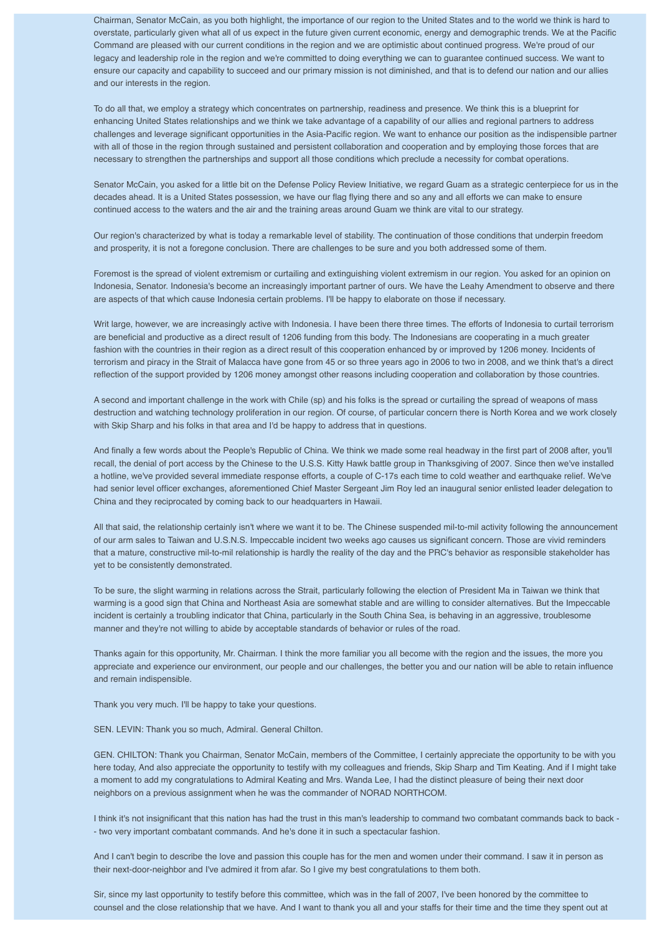Chairman, Senator McCain, as you both highlight, the importance of our region to the United States and to the world we think is hard to overstate, particularly given what all of us expect in the future given current economic, energy and demographic trends. We at the Pacific Command are pleased with our current conditions in the region and we are optimistic about continued progress. We're proud of our legacy and leadership role in the region and we're committed to doing everything we can to guarantee continued success. We want to ensure our capacity and capability to succeed and our primary mission is not diminished, and that is to defend our nation and our allies and our interests in the region.

To do all that, we employ a strategy which concentrates on partnership, readiness and presence. We think this is a blueprint for enhancing United States relationships and we think we take advantage of a capability of our allies and regional partners to address challenges and leverage significant opportunities in the Asia-Pacific region. We want to enhance our position as the indispensible partner with all of those in the region through sustained and persistent collaboration and cooperation and by employing those forces that are necessary to strengthen the partnerships and support all those conditions which preclude a necessity for combat operations.

Senator McCain, you asked for a little bit on the Defense Policy Review Initiative, we regard Guam as a strategic centerpiece for us in the decades ahead. It is a United States possession, we have our flag flying there and so any and all efforts we can make to ensure continued access to the waters and the air and the training areas around Guam we think are vital to our strategy.

Our region's characterized by what is today a remarkable level of stability. The continuation of those conditions that underpin freedom and prosperity, it is not a foregone conclusion. There are challenges to be sure and you both addressed some of them.

Foremost is the spread of violent extremism or curtailing and extinguishing violent extremism in our region. You asked for an opinion on Indonesia, Senator. Indonesia's become an increasingly important partner of ours. We have the Leahy Amendment to observe and there are aspects of that which cause Indonesia certain problems. I'll be happy to elaborate on those if necessary.

Writ large, however, we are increasingly active with Indonesia. I have been there three times. The efforts of Indonesia to curtail terrorism are beneficial and productive as a direct result of 1206 funding from this body. The Indonesians are cooperating in a much greater fashion with the countries in their region as a direct result of this cooperation enhanced by or improved by 1206 money. Incidents of terrorism and piracy in the Strait of Malacca have gone from 45 or so three years ago in 2006 to two in 2008, and we think that's a direct reflection of the support provided by 1206 money amongst other reasons including cooperation and collaboration by those countries.

A second and important challenge in the work with Chile (sp) and his folks is the spread or curtailing the spread of weapons of mass destruction and watching technology proliferation in our region. Of course, of particular concern there is North Korea and we work closely with Skip Sharp and his folks in that area and I'd be happy to address that in questions.

And finally a few words about the People's Republic of China. We think we made some real headway in the first part of 2008 after, you'll recall, the denial of port access by the Chinese to the U.S.S. Kitty Hawk battle group in Thanksgiving of 2007. Since then we've installed a hotline, we've provided several immediate response efforts, a couple of C-17s each time to cold weather and earthquake relief. We've had senior level officer exchanges, aforementioned Chief Master Sergeant Jim Roy led an inaugural senior enlisted leader delegation to China and they reciprocated by coming back to our headquarters in Hawaii.

All that said, the relationship certainly isn't where we want it to be. The Chinese suspended mil-to-mil activity following the announcement of our arm sales to Taiwan and U.S.N.S. Impeccable incident two weeks ago causes us significant concern. Those are vivid reminders that a mature, constructive mil-to-mil relationship is hardly the reality of the day and the PRC's behavior as responsible stakeholder has yet to be consistently demonstrated.

To be sure, the slight warming in relations across the Strait, particularly following the election of President Ma in Taiwan we think that warming is a good sign that China and Northeast Asia are somewhat stable and are willing to consider alternatives. But the Impeccable incident is certainly a troubling indicator that China, particularly in the South China Sea, is behaving in an aggressive, troublesome manner and they're not willing to abide by acceptable standards of behavior or rules of the road.

Thanks again for this opportunity, Mr. Chairman. I think the more familiar you all become with the region and the issues, the more you appreciate and experience our environment, our people and our challenges, the better you and our nation will be able to retain influence and remain indispensible.

Thank you very much. I'll be happy to take your questions.

SEN. LEVIN: Thank you so much, Admiral. General Chilton.

GEN. CHILTON: Thank you Chairman, Senator McCain, members of the Committee, I certainly appreciate the opportunity to be with you here today, And also appreciate the opportunity to testify with my colleagues and friends, Skip Sharp and Tim Keating. And if I might take a moment to add my congratulations to Admiral Keating and Mrs. Wanda Lee, I had the distinct pleasure of being their next door neighbors on a previous assignment when he was the commander of NORAD NORTHCOM.

I think it's not insignificant that this nation has had the trust in this man's leadership to command two combatant commands back to back - - two very important combatant commands. And he's done it in such a spectacular fashion.

And I can't begin to describe the love and passion this couple has for the men and women under their command. I saw it in person as their next-door-neighbor and I've admired it from afar. So I give my best congratulations to them both.

Sir, since my last opportunity to testify before this committee, which was in the fall of 2007, I've been honored by the committee to counsel and the close relationship that we have. And I want to thank you all and your staffs for their time and the time they spent out at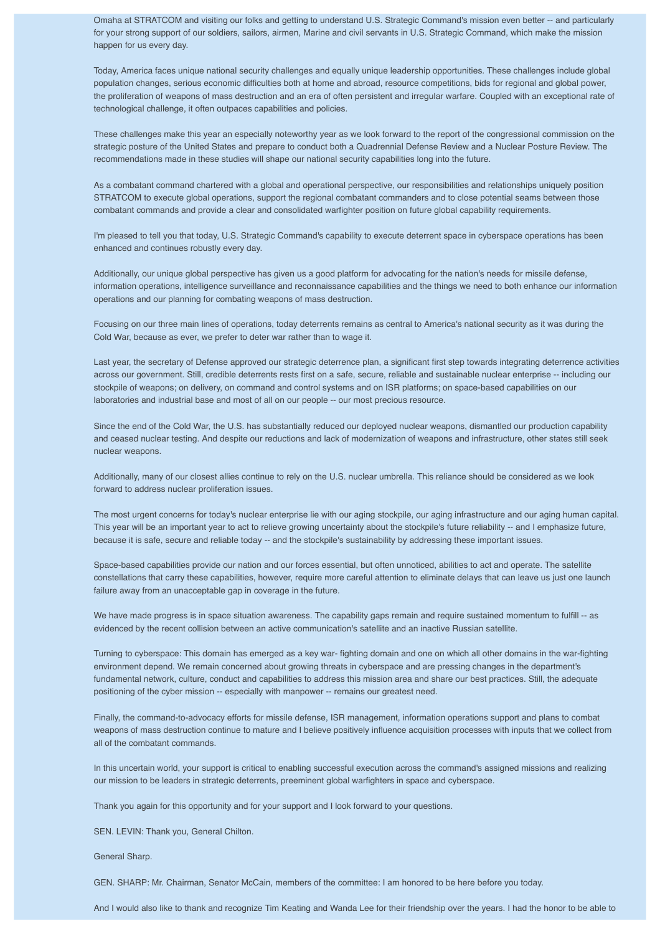Omaha at STRATCOM and visiting our folks and getting to understand U.S. Strategic Command's mission even better -- and particularly for your strong support of our soldiers, sailors, airmen, Marine and civil servants in U.S. Strategic Command, which make the mission happen for us every day.

Today, America faces unique national security challenges and equally unique leadership opportunities. These challenges include global population changes, serious economic difficulties both at home and abroad, resource competitions, bids for regional and global power, the proliferation of weapons of mass destruction and an era of often persistent and irregular warfare. Coupled with an exceptional rate of technological challenge, it often outpaces capabilities and policies.

These challenges make this year an especially noteworthy year as we look forward to the report of the congressional commission on the strategic posture of the United States and prepare to conduct both a Quadrennial Defense Review and a Nuclear Posture Review. The recommendations made in these studies will shape our national security capabilities long into the future.

As a combatant command chartered with a global and operational perspective, our responsibilities and relationships uniquely position STRATCOM to execute global operations, support the regional combatant commanders and to close potential seams between those combatant commands and provide a clear and consolidated warfighter position on future global capability requirements.

I'm pleased to tell you that today, U.S. Strategic Command's capability to execute deterrent space in cyberspace operations has been enhanced and continues robustly every day.

Additionally, our unique global perspective has given us a good platform for advocating for the nation's needs for missile defense, information operations, intelligence surveillance and reconnaissance capabilities and the things we need to both enhance our information operations and our planning for combating weapons of mass destruction.

Focusing on our three main lines of operations, today deterrents remains as central to America's national security as it was during the Cold War, because as ever, we prefer to deter war rather than to wage it.

Last year, the secretary of Defense approved our strategic deterrence plan, a significant first step towards integrating deterrence activities across our government. Still, credible deterrents rests first on a safe, secure, reliable and sustainable nuclear enterprise -- including our stockpile of weapons; on delivery, on command and control systems and on ISR platforms; on space-based capabilities on our laboratories and industrial base and most of all on our people -- our most precious resource.

Since the end of the Cold War, the U.S. has substantially reduced our deployed nuclear weapons, dismantled our production capability and ceased nuclear testing. And despite our reductions and lack of modernization of weapons and infrastructure, other states still seek nuclear weapons.

Additionally, many of our closest allies continue to rely on the U.S. nuclear umbrella. This reliance should be considered as we look forward to address nuclear proliferation issues.

The most urgent concerns for today's nuclear enterprise lie with our aging stockpile, our aging infrastructure and our aging human capital. This year will be an important year to act to relieve growing uncertainty about the stockpile's future reliability -- and I emphasize future, because it is safe, secure and reliable today -- and the stockpile's sustainability by addressing these important issues.

Space-based capabilities provide our nation and our forces essential, but often unnoticed, abilities to act and operate. The satellite constellations that carry these capabilities, however, require more careful attention to eliminate delays that can leave us just one launch failure away from an unacceptable gap in coverage in the future.

We have made progress is in space situation awareness. The capability gaps remain and require sustained momentum to fulfill -- as evidenced by the recent collision between an active communication's satellite and an inactive Russian satellite.

Turning to cyberspace: This domain has emerged as a key war- fighting domain and one on which all other domains in the war-fighting environment depend. We remain concerned about growing threats in cyberspace and are pressing changes in the department's fundamental network, culture, conduct and capabilities to address this mission area and share our best practices. Still, the adequate positioning of the cyber mission -- especially with manpower -- remains our greatest need.

Finally, the command-to-advocacy efforts for missile defense, ISR management, information operations support and plans to combat weapons of mass destruction continue to mature and I believe positively influence acquisition processes with inputs that we collect from all of the combatant commands.

In this uncertain world, your support is critical to enabling successful execution across the command's assigned missions and realizing our mission to be leaders in strategic deterrents, preeminent global warfighters in space and cyberspace.

Thank you again for this opportunity and for your support and I look forward to your questions.

SEN. LEVIN: Thank you, General Chilton.

General Sharp.

GEN. SHARP: Mr. Chairman, Senator McCain, members of the committee: I am honored to be here before you today.

And I would also like to thank and recognize Tim Keating and Wanda Lee for their friendship over the years. I had the honor to be able to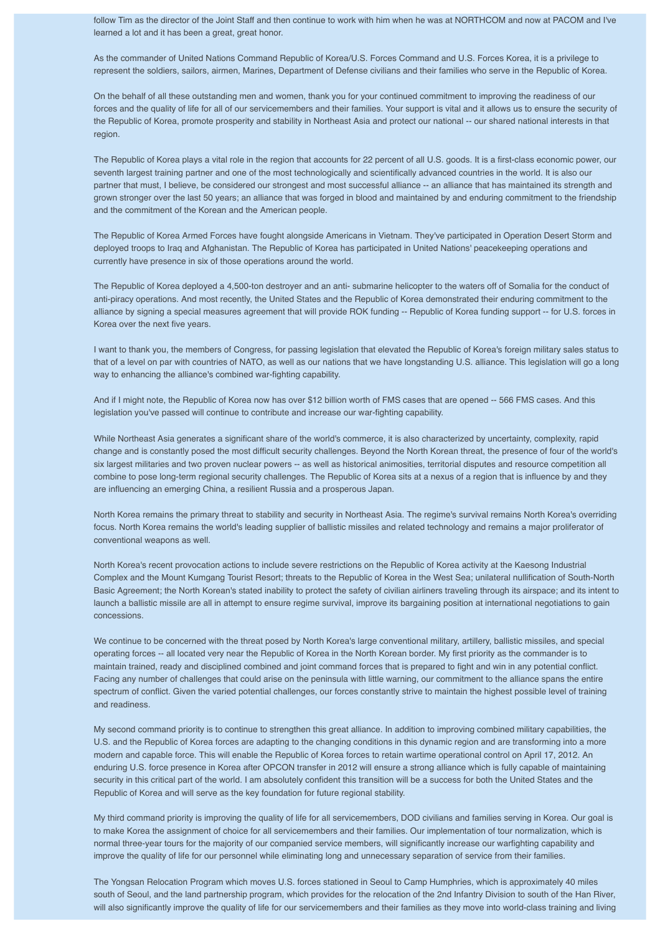follow Tim as the director of the Joint Staff and then continue to work with him when he was at NORTHCOM and now at PACOM and I've learned a lot and it has been a great, great honor.

As the commander of United Nations Command Republic of Korea/U.S. Forces Command and U.S. Forces Korea, it is a privilege to represent the soldiers, sailors, airmen, Marines, Department of Defense civilians and their families who serve in the Republic of Korea.

On the behalf of all these outstanding men and women, thank you for your continued commitment to improving the readiness of our forces and the quality of life for all of our servicemembers and their families. Your support is vital and it allows us to ensure the security of the Republic of Korea, promote prosperity and stability in Northeast Asia and protect our national -- our shared national interests in that region.

The Republic of Korea plays a vital role in the region that accounts for 22 percent of all U.S. goods. It is a first-class economic power, our seventh largest training partner and one of the most technologically and scientifically advanced countries in the world. It is also our partner that must, I believe, be considered our strongest and most successful alliance -- an alliance that has maintained its strength and grown stronger over the last 50 years; an alliance that was forged in blood and maintained by and enduring commitment to the friendship and the commitment of the Korean and the American people.

The Republic of Korea Armed Forces have fought alongside Americans in Vietnam. They've participated in Operation Desert Storm and deployed troops to Iraq and Afghanistan. The Republic of Korea has participated in United Nations' peacekeeping operations and currently have presence in six of those operations around the world.

The Republic of Korea deployed a 4,500-ton destroyer and an anti- submarine helicopter to the waters off of Somalia for the conduct of anti-piracy operations. And most recently, the United States and the Republic of Korea demonstrated their enduring commitment to the alliance by signing a special measures agreement that will provide ROK funding -- Republic of Korea funding support -- for U.S. forces in Korea over the next five years.

I want to thank you, the members of Congress, for passing legislation that elevated the Republic of Korea's foreign military sales status to that of a level on par with countries of NATO, as well as our nations that we have longstanding U.S. alliance. This legislation will go a long way to enhancing the alliance's combined war-fighting capability.

And if I might note, the Republic of Korea now has over \$12 billion worth of FMS cases that are opened -- 566 FMS cases. And this legislation you've passed will continue to contribute and increase our war-fighting capability.

While Northeast Asia generates a significant share of the world's commerce, it is also characterized by uncertainty, complexity, rapid change and is constantly posed the most difficult security challenges. Beyond the North Korean threat, the presence of four of the world's six largest militaries and two proven nuclear powers -- as well as historical animosities, territorial disputes and resource competition all combine to pose long-term regional security challenges. The Republic of Korea sits at a nexus of a region that is influence by and they are influencing an emerging China, a resilient Russia and a prosperous Japan.

North Korea remains the primary threat to stability and security in Northeast Asia. The regime's survival remains North Korea's overriding focus. North Korea remains the world's leading supplier of ballistic missiles and related technology and remains a major proliferator of conventional weapons as well.

North Korea's recent provocation actions to include severe restrictions on the Republic of Korea activity at the Kaesong Industrial Complex and the Mount Kumgang Tourist Resort; threats to the Republic of Korea in the West Sea; unilateral nullification of South-North Basic Agreement; the North Korean's stated inability to protect the safety of civilian airliners traveling through its airspace; and its intent to launch a ballistic missile are all in attempt to ensure regime survival, improve its bargaining position at international negotiations to gain concessions.

We continue to be concerned with the threat posed by North Korea's large conventional military, artillery, ballistic missiles, and special operating forces -- all located very near the Republic of Korea in the North Korean border. My first priority as the commander is to maintain trained, ready and disciplined combined and joint command forces that is prepared to fight and win in any potential conflict. Facing any number of challenges that could arise on the peninsula with little warning, our commitment to the alliance spans the entire spectrum of conflict. Given the varied potential challenges, our forces constantly strive to maintain the highest possible level of training and readiness.

My second command priority is to continue to strengthen this great alliance. In addition to improving combined military capabilities, the U.S. and the Republic of Korea forces are adapting to the changing conditions in this dynamic region and are transforming into a more modern and capable force. This will enable the Republic of Korea forces to retain wartime operational control on April 17, 2012. An enduring U.S. force presence in Korea after OPCON transfer in 2012 will ensure a strong alliance which is fully capable of maintaining security in this critical part of the world. I am absolutely confident this transition will be a success for both the United States and the Republic of Korea and will serve as the key foundation for future regional stability.

My third command priority is improving the quality of life for all servicemembers, DOD civilians and families serving in Korea. Our goal is to make Korea the assignment of choice for all servicemembers and their families. Our implementation of tour normalization, which is normal three-year tours for the majority of our companied service members, will significantly increase our warfighting capability and improve the quality of life for our personnel while eliminating long and unnecessary separation of service from their families.

The Yongsan Relocation Program which moves U.S. forces stationed in Seoul to Camp Humphries, which is approximately 40 miles south of Seoul, and the land partnership program, which provides for the relocation of the 2nd Infantry Division to south of the Han River, will also significantly improve the quality of life for our servicemembers and their families as they move into world-class training and living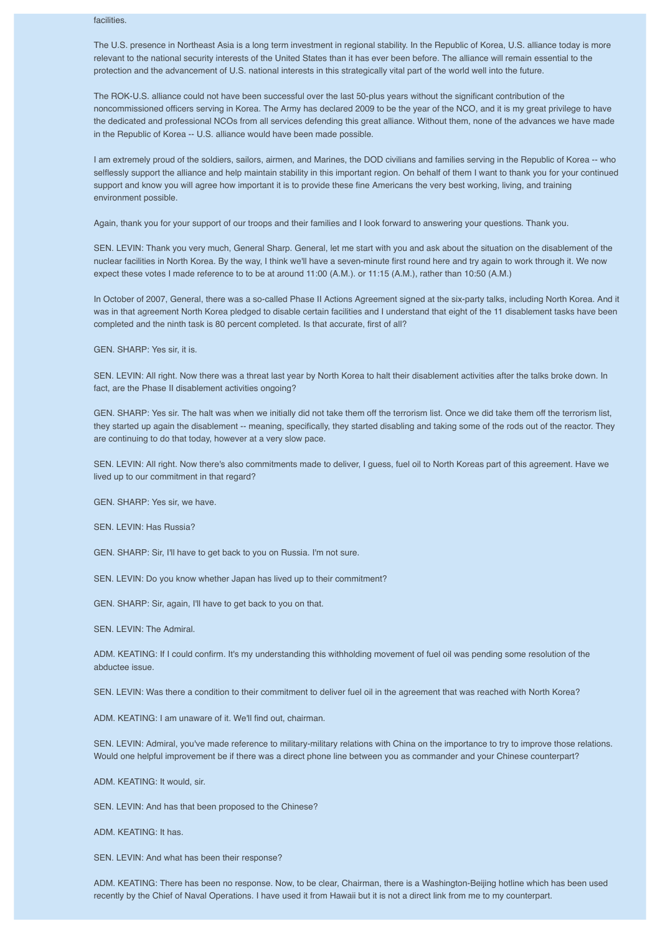## facilities.

The U.S. presence in Northeast Asia is a long term investment in regional stability. In the Republic of Korea, U.S. alliance today is more relevant to the national security interests of the United States than it has ever been before. The alliance will remain essential to the protection and the advancement of U.S. national interests in this strategically vital part of the world well into the future.

The ROK-U.S. alliance could not have been successful over the last 50-plus years without the significant contribution of the noncommissioned officers serving in Korea. The Army has declared 2009 to be the year of the NCO, and it is my great privilege to have the dedicated and professional NCOs from all services defending this great alliance. Without them, none of the advances we have made in the Republic of Korea -- U.S. alliance would have been made possible.

I am extremely proud of the soldiers, sailors, airmen, and Marines, the DOD civilians and families serving in the Republic of Korea -- who selflessly support the alliance and help maintain stability in this important region. On behalf of them I want to thank you for your continued support and know you will agree how important it is to provide these fine Americans the very best working, living, and training environment possible.

Again, thank you for your support of our troops and their families and I look forward to answering your questions. Thank you.

SEN. LEVIN: Thank you very much, General Sharp. General, let me start with you and ask about the situation on the disablement of the nuclear facilities in North Korea. By the way, I think we'll have a seven-minute first round here and try again to work through it. We now expect these votes I made reference to to be at around 11:00 (A.M.). or 11:15 (A.M.), rather than 10:50 (A.M.)

In October of 2007, General, there was a so-called Phase II Actions Agreement signed at the six-party talks, including North Korea. And it was in that agreement North Korea pledged to disable certain facilities and I understand that eight of the 11 disablement tasks have been completed and the ninth task is 80 percent completed. Is that accurate, first of all?

GEN. SHARP: Yes sir, it is.

SEN. LEVIN: All right. Now there was a threat last year by North Korea to halt their disablement activities after the talks broke down. In fact, are the Phase II disablement activities ongoing?

GEN. SHARP: Yes sir. The halt was when we initially did not take them off the terrorism list. Once we did take them off the terrorism list, they started up again the disablement -- meaning, specifically, they started disabling and taking some of the rods out of the reactor. They are continuing to do that today, however at a very slow pace.

SEN. LEVIN: All right. Now there's also commitments made to deliver, I guess, fuel oil to North Koreas part of this agreement. Have we lived up to our commitment in that regard?

GEN. SHARP: Yes sir, we have.

SEN. LEVIN: Has Russia?

GEN. SHARP: Sir, I'll have to get back to you on Russia. I'm not sure.

SEN. LEVIN: Do you know whether Japan has lived up to their commitment?

GEN. SHARP: Sir, again, I'll have to get back to you on that.

SEN. LEVIN: The Admiral.

ADM. KEATING: If I could confirm. It's my understanding this withholding movement of fuel oil was pending some resolution of the abductee issue.

SEN. LEVIN: Was there a condition to their commitment to deliver fuel oil in the agreement that was reached with North Korea?

ADM. KEATING: I am unaware of it. We'll find out, chairman.

SEN. LEVIN: Admiral, you've made reference to military-military relations with China on the importance to try to improve those relations. Would one helpful improvement be if there was a direct phone line between you as commander and your Chinese counterpart?

ADM. KEATING: It would, sir.

SEN. LEVIN: And has that been proposed to the Chinese?

ADM. KEATING: It has.

SEN. LEVIN: And what has been their response?

ADM. KEATING: There has been no response. Now, to be clear, Chairman, there is a Washington-Beijing hotline which has been used recently by the Chief of Naval Operations. I have used it from Hawaii but it is not a direct link from me to my counterpart.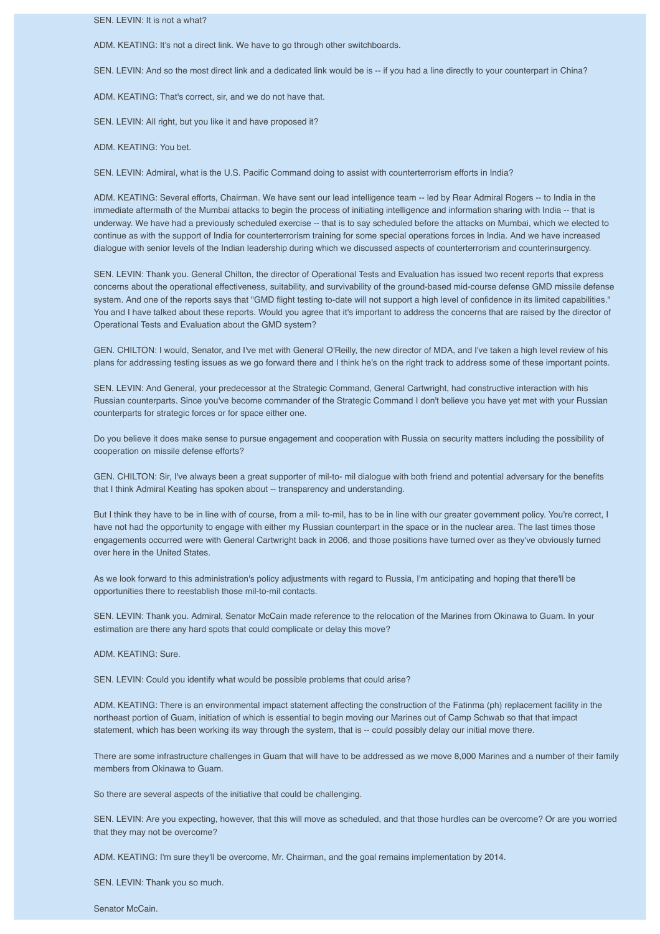SEN. LEVIN: It is not a what?

ADM. KEATING: It's not a direct link. We have to go through other switchboards.

SEN. LEVIN: And so the most direct link and a dedicated link would be is -- if you had a line directly to your counterpart in China?

ADM. KEATING: That's correct, sir, and we do not have that.

SEN. LEVIN: All right, but you like it and have proposed it?

ADM. KEATING: You bet.

SEN. LEVIN: Admiral, what is the U.S. Pacific Command doing to assist with counterterrorism efforts in India?

ADM. KEATING: Several efforts, Chairman. We have sent our lead intelligence team -- led by Rear Admiral Rogers -- to India in the immediate aftermath of the Mumbai attacks to begin the process of initiating intelligence and information sharing with India -- that is underway. We have had a previously scheduled exercise -- that is to say scheduled before the attacks on Mumbai, which we elected to continue as with the support of India for counterterrorism training for some special operations forces in India. And we have increased dialogue with senior levels of the Indian leadership during which we discussed aspects of counterterrorism and counterinsurgency.

SEN. LEVIN: Thank you. General Chilton, the director of Operational Tests and Evaluation has issued two recent reports that express concerns about the operational effectiveness, suitability, and survivability of the ground-based mid-course defense GMD missile defense system. And one of the reports says that "GMD flight testing to-date will not support a high level of confidence in its limited capabilities." You and I have talked about these reports. Would you agree that it's important to address the concerns that are raised by the director of Operational Tests and Evaluation about the GMD system?

GEN. CHILTON: I would, Senator, and I've met with General O'Reilly, the new director of MDA, and I've taken a high level review of his plans for addressing testing issues as we go forward there and I think he's on the right track to address some of these important points.

SEN. LEVIN: And General, your predecessor at the Strategic Command, General Cartwright, had constructive interaction with his Russian counterparts. Since you've become commander of the Strategic Command I don't believe you have yet met with your Russian counterparts for strategic forces or for space either one.

Do you believe it does make sense to pursue engagement and cooperation with Russia on security matters including the possibility of cooperation on missile defense efforts?

GEN. CHILTON: Sir, I've always been a great supporter of mil-to- mil dialogue with both friend and potential adversary for the benefits that I think Admiral Keating has spoken about -- transparency and understanding.

But I think they have to be in line with of course, from a mil- to-mil, has to be in line with our greater government policy. You're correct, I have not had the opportunity to engage with either my Russian counterpart in the space or in the nuclear area. The last times those engagements occurred were with General Cartwright back in 2006, and those positions have turned over as they've obviously turned over here in the United States.

As we look forward to this administration's policy adjustments with regard to Russia, I'm anticipating and hoping that there'll be opportunities there to reestablish those mil-to-mil contacts.

SEN. LEVIN: Thank you. Admiral, Senator McCain made reference to the relocation of the Marines from Okinawa to Guam. In your estimation are there any hard spots that could complicate or delay this move?

ADM. KEATING: Sure.

SEN. LEVIN: Could you identify what would be possible problems that could arise?

ADM. KEATING: There is an environmental impact statement affecting the construction of the Fatinma (ph) replacement facility in the northeast portion of Guam, initiation of which is essential to begin moving our Marines out of Camp Schwab so that that impact statement, which has been working its way through the system, that is -- could possibly delay our initial move there.

There are some infrastructure challenges in Guam that will have to be addressed as we move 8,000 Marines and a number of their family members from Okinawa to Guam.

So there are several aspects of the initiative that could be challenging.

SEN. LEVIN: Are you expecting, however, that this will move as scheduled, and that those hurdles can be overcome? Or are you worried that they may not be overcome?

ADM. KEATING: I'm sure they'll be overcome, Mr. Chairman, and the goal remains implementation by 2014.

SEN. LEVIN: Thank you so much.

Senator McCain.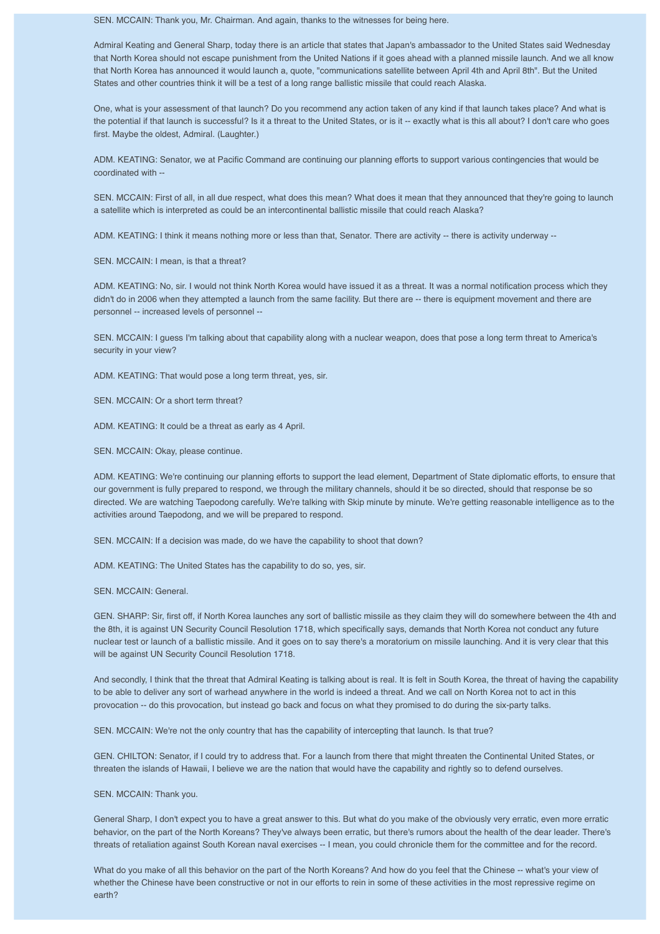SEN. MCCAIN: Thank you, Mr. Chairman. And again, thanks to the witnesses for being here.

Admiral Keating and General Sharp, today there is an article that states that Japan's ambassador to the United States said Wednesday that North Korea should not escape punishment from the United Nations if it goes ahead with a planned missile launch. And we all know that North Korea has announced it would launch a, quote, "communications satellite between April 4th and April 8th". But the United States and other countries think it will be a test of a long range ballistic missile that could reach Alaska.

One, what is your assessment of that launch? Do you recommend any action taken of any kind if that launch takes place? And what is the potential if that launch is successful? Is it a threat to the United States, or is it -- exactly what is this all about? I don't care who goes first. Maybe the oldest, Admiral. (Laughter.)

ADM. KEATING: Senator, we at Pacific Command are continuing our planning efforts to support various contingencies that would be coordinated with --

SEN. MCCAIN: First of all, in all due respect, what does this mean? What does it mean that they announced that they're going to launch a satellite which is interpreted as could be an intercontinental ballistic missile that could reach Alaska?

ADM. KEATING: I think it means nothing more or less than that, Senator. There are activity -- there is activity underway --

SEN. MCCAIN: I mean, is that a threat?

ADM. KEATING: No, sir. I would not think North Korea would have issued it as a threat. It was a normal notification process which they didn't do in 2006 when they attempted a launch from the same facility. But there are -- there is equipment movement and there are personnel -- increased levels of personnel --

SEN. MCCAIN: I guess I'm talking about that capability along with a nuclear weapon, does that pose a long term threat to America's security in your view?

ADM. KEATING: That would pose a long term threat, yes, sir.

SEN. MCCAIN: Or a short term threat?

ADM. KEATING: It could be a threat as early as 4 April.

SEN. MCCAIN: Okay, please continue.

ADM. KEATING: We're continuing our planning efforts to support the lead element, Department of State diplomatic efforts, to ensure that our government is fully prepared to respond, we through the military channels, should it be so directed, should that response be so directed. We are watching Taepodong carefully. We're talking with Skip minute by minute. We're getting reasonable intelligence as to the activities around Taepodong, and we will be prepared to respond.

SEN. MCCAIN: If a decision was made, do we have the capability to shoot that down?

ADM. KEATING: The United States has the capability to do so, yes, sir.

SEN. MCCAIN: General.

GEN. SHARP: Sir, first off, if North Korea launches any sort of ballistic missile as they claim they will do somewhere between the 4th and the 8th, it is against UN Security Council Resolution 1718, which specifically says, demands that North Korea not conduct any future nuclear test or launch of a ballistic missile. And it goes on to say there's a moratorium on missile launching. And it is very clear that this will be against UN Security Council Resolution 1718.

And secondly, I think that the threat that Admiral Keating is talking about is real. It is felt in South Korea, the threat of having the capability to be able to deliver any sort of warhead anywhere in the world is indeed a threat. And we call on North Korea not to act in this provocation -- do this provocation, but instead go back and focus on what they promised to do during the six-party talks.

SEN. MCCAIN: We're not the only country that has the capability of intercepting that launch. Is that true?

GEN. CHILTON: Senator, if I could try to address that. For a launch from there that might threaten the Continental United States, or threaten the islands of Hawaii, I believe we are the nation that would have the capability and rightly so to defend ourselves.

## SEN. MCCAIN: Thank you.

General Sharp, I don't expect you to have a great answer to this. But what do you make of the obviously very erratic, even more erratic behavior, on the part of the North Koreans? They've always been erratic, but there's rumors about the health of the dear leader. There's threats of retaliation against South Korean naval exercises -- I mean, you could chronicle them for the committee and for the record.

What do you make of all this behavior on the part of the North Koreans? And how do you feel that the Chinese -- what's your view of whether the Chinese have been constructive or not in our efforts to rein in some of these activities in the most repressive regime on earth?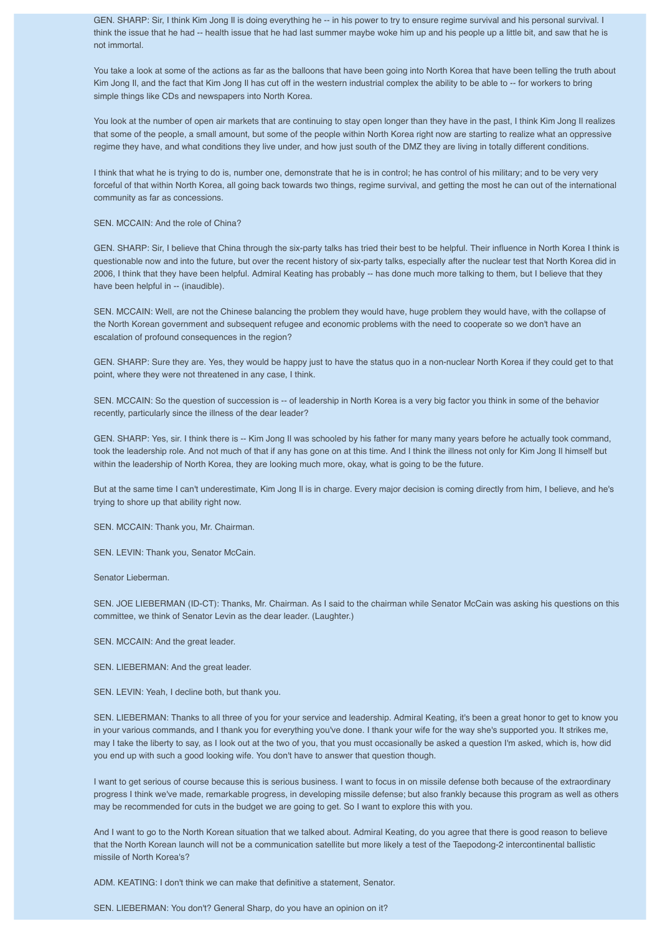GEN. SHARP: Sir, I think Kim Jong Il is doing everything he -- in his power to try to ensure regime survival and his personal survival. I think the issue that he had -- health issue that he had last summer maybe woke him up and his people up a little bit, and saw that he is not immortal.

You take a look at some of the actions as far as the balloons that have been going into North Korea that have been telling the truth about Kim Jong Il, and the fact that Kim Jong Il has cut off in the western industrial complex the ability to be able to -- for workers to bring simple things like CDs and newspapers into North Korea.

You look at the number of open air markets that are continuing to stay open longer than they have in the past, I think Kim Jong Il realizes that some of the people, a small amount, but some of the people within North Korea right now are starting to realize what an oppressive regime they have, and what conditions they live under, and how just south of the DMZ they are living in totally different conditions.

I think that what he is trying to do is, number one, demonstrate that he is in control; he has control of his military; and to be very very forceful of that within North Korea, all going back towards two things, regime survival, and getting the most he can out of the international community as far as concessions.

SEN. MCCAIN: And the role of China?

GEN. SHARP: Sir, I believe that China through the six-party talks has tried their best to be helpful. Their influence in North Korea I think is questionable now and into the future, but over the recent history of six-party talks, especially after the nuclear test that North Korea did in 2006, I think that they have been helpful. Admiral Keating has probably -- has done much more talking to them, but I believe that they have been helpful in -- (inaudible).

SEN. MCCAIN: Well, are not the Chinese balancing the problem they would have, huge problem they would have, with the collapse of the North Korean government and subsequent refugee and economic problems with the need to cooperate so we don't have an escalation of profound consequences in the region?

GEN. SHARP: Sure they are. Yes, they would be happy just to have the status quo in a non-nuclear North Korea if they could get to that point, where they were not threatened in any case, I think.

SEN. MCCAIN: So the question of succession is -- of leadership in North Korea is a very big factor you think in some of the behavior recently, particularly since the illness of the dear leader?

GEN. SHARP: Yes, sir. I think there is -- Kim Jong II was schooled by his father for many many years before he actually took command, took the leadership role. And not much of that if any has gone on at this time. And I think the illness not only for Kim Jong Il himself but within the leadership of North Korea, they are looking much more, okay, what is going to be the future.

But at the same time I can't underestimate, Kim Jong Il is in charge. Every major decision is coming directly from him, I believe, and he's trying to shore up that ability right now.

SEN. MCCAIN: Thank you, Mr. Chairman.

SEN. LEVIN: Thank you, Senator McCain.

Senator Lieberman.

SEN. JOE LIEBERMAN (ID-CT): Thanks, Mr. Chairman. As I said to the chairman while Senator McCain was asking his questions on this committee, we think of Senator Levin as the dear leader. (Laughter.)

SEN. MCCAIN: And the great leader.

SEN. LIEBERMAN: And the great leader.

SEN. LEVIN: Yeah, I decline both, but thank you.

SEN. LIEBERMAN: Thanks to all three of you for your service and leadership. Admiral Keating, it's been a great honor to get to know you in your various commands, and I thank you for everything you've done. I thank your wife for the way she's supported you. It strikes me, may I take the liberty to say, as I look out at the two of you, that you must occasionally be asked a question I'm asked, which is, how did you end up with such a good looking wife. You don't have to answer that question though.

I want to get serious of course because this is serious business. I want to focus in on missile defense both because of the extraordinary progress I think we've made, remarkable progress, in developing missile defense; but also frankly because this program as well as others may be recommended for cuts in the budget we are going to get. So I want to explore this with you.

And I want to go to the North Korean situation that we talked about. Admiral Keating, do you agree that there is good reason to believe that the North Korean launch will not be a communication satellite but more likely a test of the Taepodong-2 intercontinental ballistic missile of North Korea's?

ADM. KEATING: I don't think we can make that definitive a statement, Senator.

SEN. LIEBERMAN: You don't? General Sharp, do you have an opinion on it?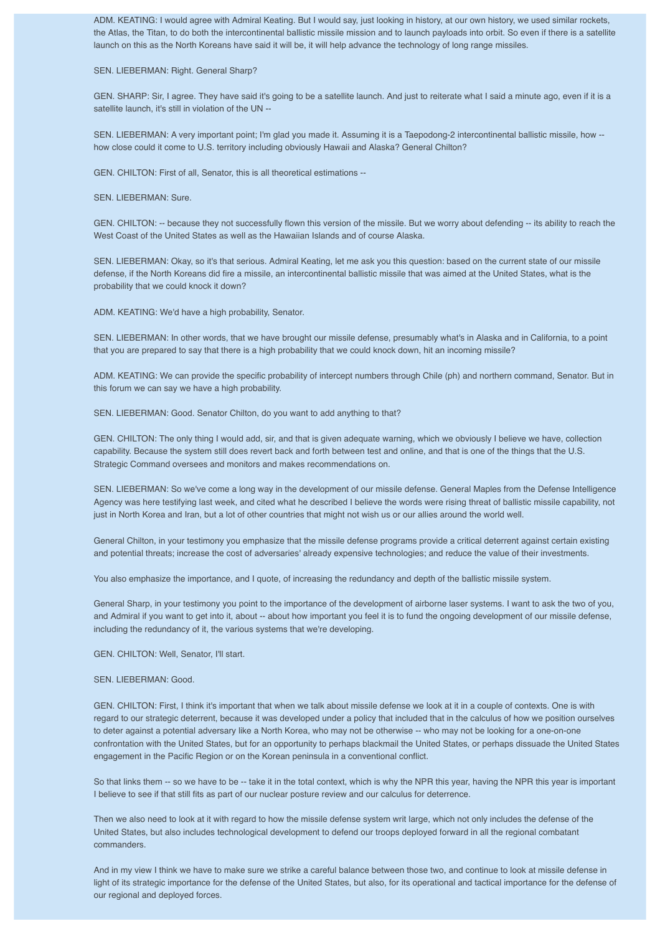ADM. KEATING: I would agree with Admiral Keating. But I would say, just looking in history, at our own history, we used similar rockets, the Atlas, the Titan, to do both the intercontinental ballistic missile mission and to launch payloads into orbit. So even if there is a satellite launch on this as the North Koreans have said it will be, it will help advance the technology of long range missiles.

#### SEN. LIEBERMAN: Right. General Sharp?

GEN. SHARP: Sir, I agree. They have said it's going to be a satellite launch. And just to reiterate what I said a minute ago, even if it is a satellite launch, it's still in violation of the UN --

SEN. LIEBERMAN: A very important point; I'm glad you made it. Assuming it is a Taepodong-2 intercontinental ballistic missile, how - how close could it come to U.S. territory including obviously Hawaii and Alaska? General Chilton?

GEN. CHILTON: First of all, Senator, this is all theoretical estimations --

SEN. LIEBERMAN: Sure.

GEN. CHILTON: -- because they not successfully flown this version of the missile. But we worry about defending -- its ability to reach the West Coast of the United States as well as the Hawaiian Islands and of course Alaska.

SEN. LIEBERMAN: Okay, so it's that serious. Admiral Keating, let me ask you this question: based on the current state of our missile defense, if the North Koreans did fire a missile, an intercontinental ballistic missile that was aimed at the United States, what is the probability that we could knock it down?

ADM. KEATING: We'd have a high probability, Senator.

SEN. LIEBERMAN: In other words, that we have brought our missile defense, presumably what's in Alaska and in California, to a point that you are prepared to say that there is a high probability that we could knock down, hit an incoming missile?

ADM. KEATING: We can provide the specific probability of intercept numbers through Chile (ph) and northern command, Senator. But in this forum we can say we have a high probability.

SEN. LIEBERMAN: Good. Senator Chilton, do you want to add anything to that?

GEN. CHILTON: The only thing I would add, sir, and that is given adequate warning, which we obviously I believe we have, collection capability. Because the system still does revert back and forth between test and online, and that is one of the things that the U.S. Strategic Command oversees and monitors and makes recommendations on.

SEN. LIEBERMAN: So we've come a long way in the development of our missile defense. General Maples from the Defense Intelligence Agency was here testifying last week, and cited what he described I believe the words were rising threat of ballistic missile capability, not just in North Korea and Iran, but a lot of other countries that might not wish us or our allies around the world well.

General Chilton, in your testimony you emphasize that the missile defense programs provide a critical deterrent against certain existing and potential threats; increase the cost of adversaries' already expensive technologies; and reduce the value of their investments.

You also emphasize the importance, and I quote, of increasing the redundancy and depth of the ballistic missile system.

General Sharp, in your testimony you point to the importance of the development of airborne laser systems. I want to ask the two of you, and Admiral if you want to get into it, about -- about how important you feel it is to fund the ongoing development of our missile defense, including the redundancy of it, the various systems that we're developing.

GEN. CHILTON: Well, Senator, I'll start.

SEN. LIEBERMAN: Good.

GEN. CHILTON: First, I think it's important that when we talk about missile defense we look at it in a couple of contexts. One is with regard to our strategic deterrent, because it was developed under a policy that included that in the calculus of how we position ourselves to deter against a potential adversary like a North Korea, who may not be otherwise -- who may not be looking for a one-on-one confrontation with the United States, but for an opportunity to perhaps blackmail the United States, or perhaps dissuade the United States engagement in the Pacific Region or on the Korean peninsula in a conventional conflict.

So that links them -- so we have to be -- take it in the total context, which is why the NPR this year, having the NPR this year is important I believe to see if that still fits as part of our nuclear posture review and our calculus for deterrence.

Then we also need to look at it with regard to how the missile defense system writ large, which not only includes the defense of the United States, but also includes technological development to defend our troops deployed forward in all the regional combatant commanders.

And in my view I think we have to make sure we strike a careful balance between those two, and continue to look at missile defense in light of its strategic importance for the defense of the United States, but also, for its operational and tactical importance for the defense of our regional and deployed forces.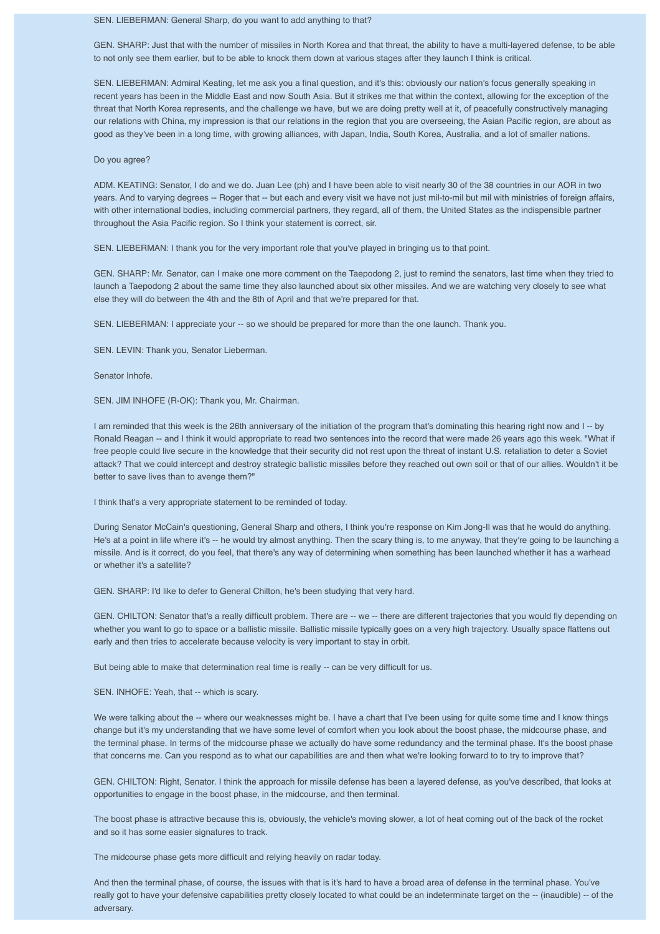## SEN. LIEBERMAN: General Sharp, do you want to add anything to that?

GEN. SHARP: Just that with the number of missiles in North Korea and that threat, the ability to have a multi-layered defense, to be able to not only see them earlier, but to be able to knock them down at various stages after they launch I think is critical.

SEN. LIEBERMAN: Admiral Keating, let me ask you a final question, and it's this: obviously our nation's focus generally speaking in recent years has been in the Middle East and now South Asia. But it strikes me that within the context, allowing for the exception of the threat that North Korea represents, and the challenge we have, but we are doing pretty well at it, of peacefully constructively managing our relations with China, my impression is that our relations in the region that you are overseeing, the Asian Pacific region, are about as good as they've been in a long time, with growing alliances, with Japan, India, South Korea, Australia, and a lot of smaller nations.

#### Do you agree?

ADM. KEATING: Senator, I do and we do. Juan Lee (ph) and I have been able to visit nearly 30 of the 38 countries in our AOR in two years. And to varying degrees -- Roger that -- but each and every visit we have not just mil-to-mil but mil with ministries of foreign affairs, with other international bodies, including commercial partners, they regard, all of them, the United States as the indispensible partner throughout the Asia Pacific region. So I think your statement is correct, sir.

SEN. LIEBERMAN: I thank you for the very important role that you've played in bringing us to that point.

GEN. SHARP: Mr. Senator, can I make one more comment on the Taepodong 2, just to remind the senators, last time when they tried to launch a Taepodong 2 about the same time they also launched about six other missiles. And we are watching very closely to see what else they will do between the 4th and the 8th of April and that we're prepared for that.

SEN. LIEBERMAN: I appreciate your -- so we should be prepared for more than the one launch. Thank you.

SEN. LEVIN: Thank you, Senator Lieberman.

Senator Inhofe.

SEN. JIM INHOFE (R-OK): Thank you, Mr. Chairman.

I am reminded that this week is the 26th anniversary of the initiation of the program that's dominating this hearing right now and I -- by Ronald Reagan -- and I think it would appropriate to read two sentences into the record that were made 26 years ago this week. "What if free people could live secure in the knowledge that their security did not rest upon the threat of instant U.S. retaliation to deter a Soviet attack? That we could intercept and destroy strategic ballistic missiles before they reached out own soil or that of our allies. Wouldn't it be better to save lives than to avenge them?"

I think that's a very appropriate statement to be reminded of today.

During Senator McCain's questioning, General Sharp and others, I think you're response on Kim Jong-Il was that he would do anything. He's at a point in life where it's -- he would try almost anything. Then the scary thing is, to me anyway, that they're going to be launching a missile. And is it correct, do you feel, that there's any way of determining when something has been launched whether it has a warhead or whether it's a satellite?

GEN. SHARP: I'd like to defer to General Chilton, he's been studying that very hard.

GEN. CHILTON: Senator that's a really difficult problem. There are -- we -- there are different trajectories that you would fly depending on whether you want to go to space or a ballistic missile. Ballistic missile typically goes on a very high trajectory. Usually space flattens out early and then tries to accelerate because velocity is very important to stay in orbit.

But being able to make that determination real time is really -- can be very difficult for us.

SEN. INHOFE: Yeah, that -- which is scary.

We were talking about the -- where our weaknesses might be. I have a chart that I've been using for quite some time and I know things change but it's my understanding that we have some level of comfort when you look about the boost phase, the midcourse phase, and the terminal phase. In terms of the midcourse phase we actually do have some redundancy and the terminal phase. It's the boost phase that concerns me. Can you respond as to what our capabilities are and then what we're looking forward to to try to improve that?

GEN. CHILTON: Right, Senator. I think the approach for missile defense has been a layered defense, as you've described, that looks at opportunities to engage in the boost phase, in the midcourse, and then terminal.

The boost phase is attractive because this is, obviously, the vehicle's moving slower, a lot of heat coming out of the back of the rocket and so it has some easier signatures to track.

The midcourse phase gets more difficult and relying heavily on radar today.

And then the terminal phase, of course, the issues with that is it's hard to have a broad area of defense in the terminal phase. You've really got to have your defensive capabilities pretty closely located to what could be an indeterminate target on the -- (inaudible) -- of the adversary.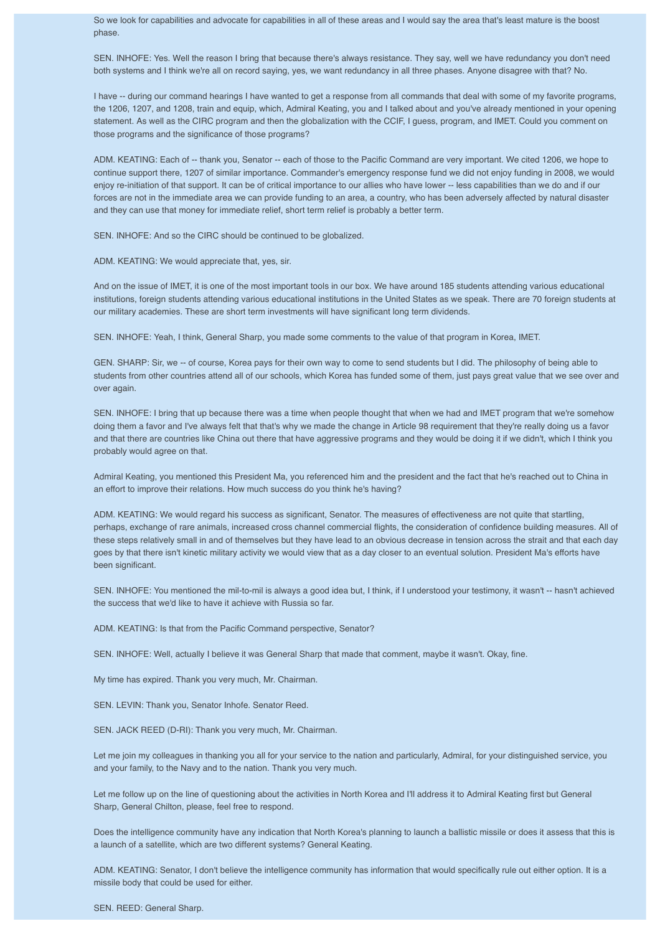So we look for capabilities and advocate for capabilities in all of these areas and I would say the area that's least mature is the boost phase.

SEN. INHOFE: Yes. Well the reason I bring that because there's always resistance. They say, well we have redundancy you don't need both systems and I think we're all on record saying, yes, we want redundancy in all three phases. Anyone disagree with that? No.

I have -- during our command hearings I have wanted to get a response from all commands that deal with some of my favorite programs, the 1206, 1207, and 1208, train and equip, which, Admiral Keating, you and I talked about and you've already mentioned in your opening statement. As well as the CIRC program and then the globalization with the CCIF, I guess, program, and IMET. Could you comment on those programs and the significance of those programs?

ADM. KEATING: Each of -- thank you, Senator -- each of those to the Pacific Command are very important. We cited 1206, we hope to continue support there, 1207 of similar importance. Commander's emergency response fund we did not enjoy funding in 2008, we would enjoy re-initiation of that support. It can be of critical importance to our allies who have lower -- less capabilities than we do and if our forces are not in the immediate area we can provide funding to an area, a country, who has been adversely affected by natural disaster and they can use that money for immediate relief, short term relief is probably a better term.

SEN. INHOFE: And so the CIRC should be continued to be globalized.

ADM. KEATING: We would appreciate that, yes, sir.

And on the issue of IMET, it is one of the most important tools in our box. We have around 185 students attending various educational institutions, foreign students attending various educational institutions in the United States as we speak. There are 70 foreign students at our military academies. These are short term investments will have significant long term dividends.

SEN. INHOFE: Yeah, I think, General Sharp, you made some comments to the value of that program in Korea, IMET.

GEN. SHARP: Sir, we -- of course, Korea pays for their own way to come to send students but I did. The philosophy of being able to students from other countries attend all of our schools, which Korea has funded some of them, just pays great value that we see over and over again.

SEN. INHOFE: I bring that up because there was a time when people thought that when we had and IMET program that we're somehow doing them a favor and I've always felt that that's why we made the change in Article 98 requirement that they're really doing us a favor and that there are countries like China out there that have aggressive programs and they would be doing it if we didn't, which I think you probably would agree on that.

Admiral Keating, you mentioned this President Ma, you referenced him and the president and the fact that he's reached out to China in an effort to improve their relations. How much success do you think he's having?

ADM. KEATING: We would regard his success as significant, Senator. The measures of effectiveness are not quite that startling, perhaps, exchange of rare animals, increased cross channel commercial flights, the consideration of confidence building measures. All of these steps relatively small in and of themselves but they have lead to an obvious decrease in tension across the strait and that each day goes by that there isn't kinetic military activity we would view that as a day closer to an eventual solution. President Ma's efforts have been significant.

SEN. INHOFE: You mentioned the mil-to-mil is always a good idea but, I think, if I understood your testimony, it wasn't -- hasn't achieved the success that we'd like to have it achieve with Russia so far.

ADM. KEATING: Is that from the Pacific Command perspective, Senator?

SEN. INHOFE: Well, actually I believe it was General Sharp that made that comment, maybe it wasn't. Okay, fine.

My time has expired. Thank you very much, Mr. Chairman.

SEN. LEVIN: Thank you, Senator Inhofe. Senator Reed.

SEN. JACK REED (D-RI): Thank you very much, Mr. Chairman.

Let me join my colleagues in thanking you all for your service to the nation and particularly, Admiral, for your distinguished service, you and your family, to the Navy and to the nation. Thank you very much.

Let me follow up on the line of questioning about the activities in North Korea and I'll address it to Admiral Keating first but General Sharp, General Chilton, please, feel free to respond.

Does the intelligence community have any indication that North Korea's planning to launch a ballistic missile or does it assess that this is a launch of a satellite, which are two different systems? General Keating.

ADM. KEATING: Senator, I don't believe the intelligence community has information that would specifically rule out either option. It is a missile body that could be used for either.

SEN. REED: General Sharp.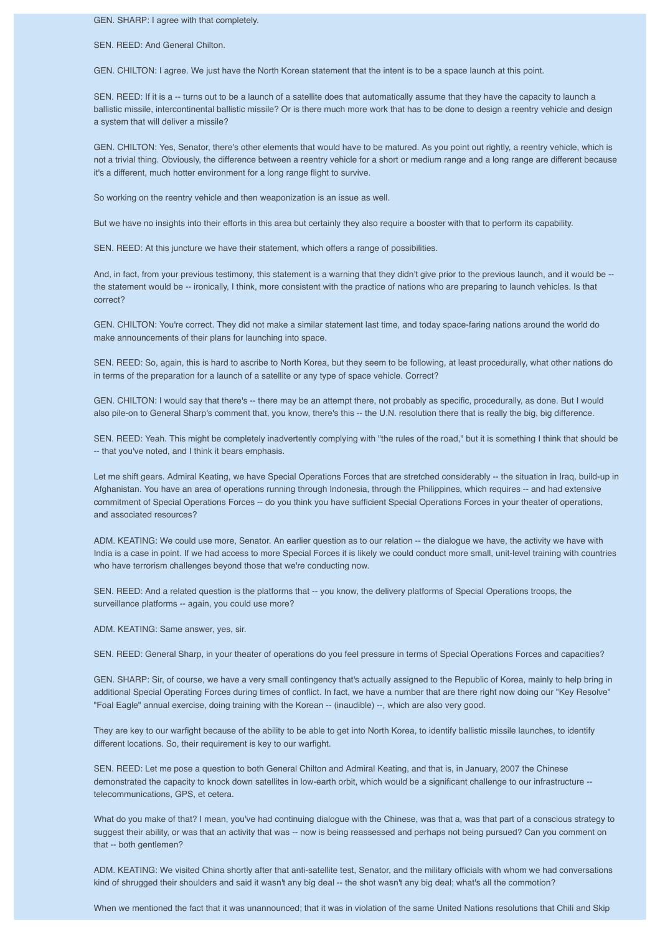GEN. SHARP: I agree with that completely.

SEN. REED: And General Chilton.

GEN. CHILTON: I agree. We just have the North Korean statement that the intent is to be a space launch at this point.

SEN. REED: If it is a -- turns out to be a launch of a satellite does that automatically assume that they have the capacity to launch a ballistic missile, intercontinental ballistic missile? Or is there much more work that has to be done to design a reentry vehicle and design a system that will deliver a missile?

GEN. CHILTON: Yes, Senator, there's other elements that would have to be matured. As you point out rightly, a reentry vehicle, which is not a trivial thing. Obviously, the difference between a reentry vehicle for a short or medium range and a long range are different because it's a different, much hotter environment for a long range flight to survive.

So working on the reentry vehicle and then weaponization is an issue as well.

But we have no insights into their efforts in this area but certainly they also require a booster with that to perform its capability.

SEN. REED: At this juncture we have their statement, which offers a range of possibilities.

And, in fact, from your previous testimony, this statement is a warning that they didn't give prior to the previous launch, and it would be -the statement would be -- ironically, I think, more consistent with the practice of nations who are preparing to launch vehicles. Is that correct?

GEN. CHILTON: You're correct. They did not make a similar statement last time, and today space-faring nations around the world do make announcements of their plans for launching into space.

SEN. REED: So, again, this is hard to ascribe to North Korea, but they seem to be following, at least procedurally, what other nations do in terms of the preparation for a launch of a satellite or any type of space vehicle. Correct?

GEN. CHILTON: I would say that there's -- there may be an attempt there, not probably as specific, procedurally, as done. But I would also pile-on to General Sharp's comment that, you know, there's this -- the U.N. resolution there that is really the big, big difference.

SEN. REED: Yeah. This might be completely inadvertently complying with "the rules of the road," but it is something I think that should be -- that you've noted, and I think it bears emphasis.

Let me shift gears. Admiral Keating, we have Special Operations Forces that are stretched considerably -- the situation in Iraq, build-up in Afghanistan. You have an area of operations running through Indonesia, through the Philippines, which requires -- and had extensive commitment of Special Operations Forces -- do you think you have sufficient Special Operations Forces in your theater of operations, and associated resources?

ADM. KEATING: We could use more, Senator. An earlier question as to our relation -- the dialogue we have, the activity we have with India is a case in point. If we had access to more Special Forces it is likely we could conduct more small, unit-level training with countries who have terrorism challenges beyond those that we're conducting now.

SEN. REED: And a related question is the platforms that -- you know, the delivery platforms of Special Operations troops, the surveillance platforms -- again, you could use more?

ADM. KEATING: Same answer, yes, sir.

SEN. REED: General Sharp, in your theater of operations do you feel pressure in terms of Special Operations Forces and capacities?

GEN. SHARP: Sir, of course, we have a very small contingency that's actually assigned to the Republic of Korea, mainly to help bring in additional Special Operating Forces during times of conflict. In fact, we have a number that are there right now doing our "Key Resolve" "Foal Eagle" annual exercise, doing training with the Korean -- (inaudible) --, which are also very good.

They are key to our warfight because of the ability to be able to get into North Korea, to identify ballistic missile launches, to identify different locations. So, their requirement is key to our warfight.

SEN. REED: Let me pose a question to both General Chilton and Admiral Keating, and that is, in January, 2007 the Chinese demonstrated the capacity to knock down satellites in low-earth orbit, which would be a significant challenge to our infrastructure - telecommunications, GPS, et cetera.

What do you make of that? I mean, you've had continuing dialogue with the Chinese, was that a, was that part of a conscious strategy to suggest their ability, or was that an activity that was -- now is being reassessed and perhaps not being pursued? Can you comment on that -- both gentlemen?

ADM. KEATING: We visited China shortly after that anti-satellite test, Senator, and the military officials with whom we had conversations kind of shrugged their shoulders and said it wasn't any big deal -- the shot wasn't any big deal; what's all the commotion?

When we mentioned the fact that it was unannounced; that it was in violation of the same United Nations resolutions that Chili and Skip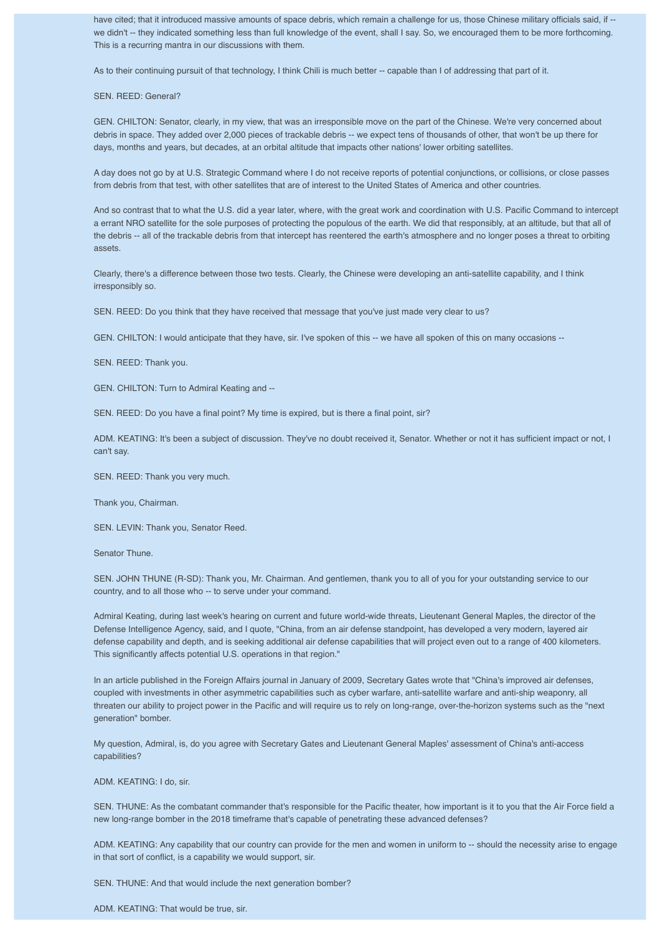have cited; that it introduced massive amounts of space debris, which remain a challenge for us, those Chinese military officials said, if -we didn't -- they indicated something less than full knowledge of the event, shall I say. So, we encouraged them to be more forthcoming. This is a recurring mantra in our discussions with them.

As to their continuing pursuit of that technology, I think Chili is much better -- capable than I of addressing that part of it.

SEN. REED: General?

GEN. CHILTON: Senator, clearly, in my view, that was an irresponsible move on the part of the Chinese. We're very concerned about debris in space. They added over 2,000 pieces of trackable debris -- we expect tens of thousands of other, that won't be up there for days, months and years, but decades, at an orbital altitude that impacts other nations' lower orbiting satellites.

A day does not go by at U.S. Strategic Command where I do not receive reports of potential conjunctions, or collisions, or close passes from debris from that test, with other satellites that are of interest to the United States of America and other countries.

And so contrast that to what the U.S. did a year later, where, with the great work and coordination with U.S. Pacific Command to intercept a errant NRO satellite for the sole purposes of protecting the populous of the earth. We did that responsibly, at an altitude, but that all of the debris -- all of the trackable debris from that intercept has reentered the earth's atmosphere and no longer poses a threat to orbiting assets.

Clearly, there's a difference between those two tests. Clearly, the Chinese were developing an anti-satellite capability, and I think irresponsibly so.

SEN. REED: Do you think that they have received that message that you've just made very clear to us?

GEN. CHILTON: I would anticipate that they have, sir. I've spoken of this -- we have all spoken of this on many occasions --

SEN. REED: Thank you.

GEN. CHILTON: Turn to Admiral Keating and --

SEN. REED: Do you have a final point? My time is expired, but is there a final point, sir?

ADM. KEATING: It's been a subject of discussion. They've no doubt received it, Senator. Whether or not it has sufficient impact or not, I can't say.

SEN. REED: Thank you very much.

Thank you, Chairman.

SEN. LEVIN: Thank you, Senator Reed.

Senator Thune.

SEN. JOHN THUNE (R-SD): Thank you, Mr. Chairman. And gentlemen, thank you to all of you for your outstanding service to our country, and to all those who -- to serve under your command.

Admiral Keating, during last week's hearing on current and future world-wide threats, Lieutenant General Maples, the director of the Defense Intelligence Agency, said, and I quote, "China, from an air defense standpoint, has developed a very modern, layered air defense capability and depth, and is seeking additional air defense capabilities that will project even out to a range of 400 kilometers. This significantly affects potential U.S. operations in that region."

In an article published in the Foreign Affairs journal in January of 2009, Secretary Gates wrote that "China's improved air defenses, coupled with investments in other asymmetric capabilities such as cyber warfare, anti-satellite warfare and anti-ship weaponry, all threaten our ability to project power in the Pacific and will require us to rely on long-range, over-the-horizon systems such as the "next generation" bomber.

My question, Admiral, is, do you agree with Secretary Gates and Lieutenant General Maples' assessment of China's anti-access capabilities?

ADM. KEATING: I do, sir.

SEN. THUNE: As the combatant commander that's responsible for the Pacific theater, how important is it to you that the Air Force field a new long-range bomber in the 2018 timeframe that's capable of penetrating these advanced defenses?

ADM. KEATING: Any capability that our country can provide for the men and women in uniform to -- should the necessity arise to engage in that sort of conflict, is a capability we would support, sir.

SEN. THUNE: And that would include the next generation bomber?

ADM. KEATING: That would be true, sir.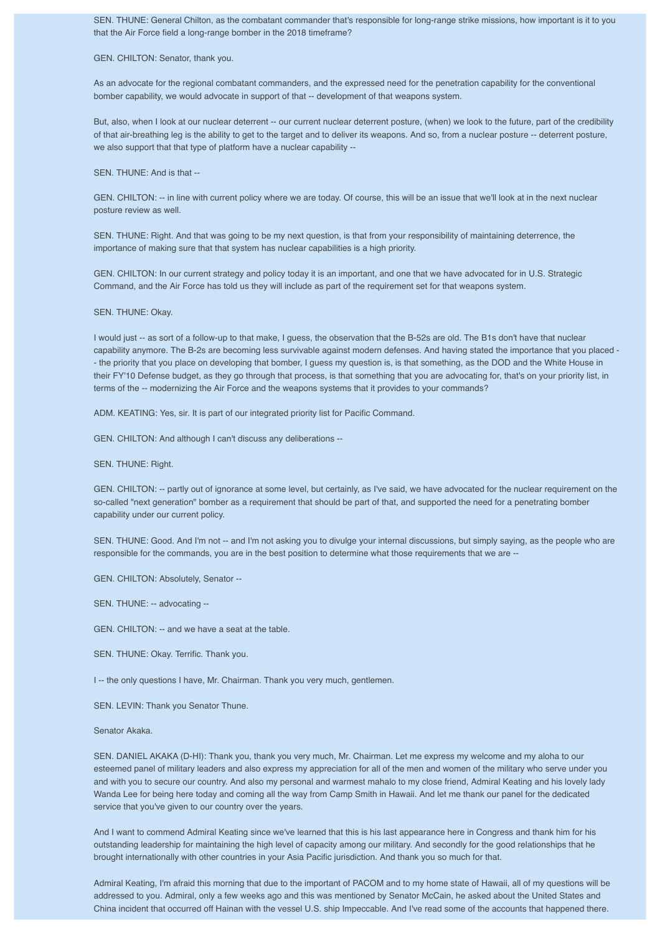SEN. THUNE: General Chilton, as the combatant commander that's responsible for long-range strike missions, how important is it to you that the Air Force field a long-range bomber in the 2018 timeframe?

GEN. CHILTON: Senator, thank you.

As an advocate for the regional combatant commanders, and the expressed need for the penetration capability for the conventional bomber capability, we would advocate in support of that -- development of that weapons system.

But, also, when I look at our nuclear deterrent -- our current nuclear deterrent posture, (when) we look to the future, part of the credibility of that air-breathing leg is the ability to get to the target and to deliver its weapons. And so, from a nuclear posture -- deterrent posture, we also support that that type of platform have a nuclear capability --

SEN. THUNE: And is that --

GEN. CHILTON: -- in line with current policy where we are today. Of course, this will be an issue that we'll look at in the next nuclear posture review as well.

SEN. THUNE: Right. And that was going to be my next question, is that from your responsibility of maintaining deterrence, the importance of making sure that that system has nuclear capabilities is a high priority.

GEN. CHILTON: In our current strategy and policy today it is an important, and one that we have advocated for in U.S. Strategic Command, and the Air Force has told us they will include as part of the requirement set for that weapons system.

SEN. THUNE: Okay.

I would just -- as sort of a follow-up to that make, I guess, the observation that the B-52s are old. The B1s don't have that nuclear capability anymore. The B-2s are becoming less survivable against modern defenses. And having stated the importance that you placed - - the priority that you place on developing that bomber, I guess my question is, is that something, as the DOD and the White House in their FY'10 Defense budget, as they go through that process, is that something that you are advocating for, that's on your priority list, in terms of the -- modernizing the Air Force and the weapons systems that it provides to your commands?

ADM. KEATING: Yes, sir. It is part of our integrated priority list for Pacific Command.

GEN. CHILTON: And although I can't discuss any deliberations --

SEN. THUNE: Right.

GEN. CHILTON: -- partly out of ignorance at some level, but certainly, as I've said, we have advocated for the nuclear requirement on the so-called "next generation" bomber as a requirement that should be part of that, and supported the need for a penetrating bomber capability under our current policy.

SEN. THUNE: Good. And I'm not -- and I'm not asking you to divulge your internal discussions, but simply saying, as the people who are responsible for the commands, you are in the best position to determine what those requirements that we are --

GEN. CHILTON: Absolutely, Senator --

SEN. THUNE: -- advocating --

GEN. CHILTON: -- and we have a seat at the table.

SEN. THUNE: Okay. Terrific. Thank you.

I -- the only questions I have, Mr. Chairman. Thank you very much, gentlemen.

SEN. LEVIN: Thank you Senator Thune.

Senator Akaka.

SEN. DANIEL AKAKA (D-HI): Thank you, thank you very much, Mr. Chairman. Let me express my welcome and my aloha to our esteemed panel of military leaders and also express my appreciation for all of the men and women of the military who serve under you and with you to secure our country. And also my personal and warmest mahalo to my close friend, Admiral Keating and his lovely lady Wanda Lee for being here today and coming all the way from Camp Smith in Hawaii. And let me thank our panel for the dedicated service that you've given to our country over the years.

And I want to commend Admiral Keating since we've learned that this is his last appearance here in Congress and thank him for his outstanding leadership for maintaining the high level of capacity among our military. And secondly for the good relationships that he brought internationally with other countries in your Asia Pacific jurisdiction. And thank you so much for that.

Admiral Keating, I'm afraid this morning that due to the important of PACOM and to my home state of Hawaii, all of my questions will be addressed to you. Admiral, only a few weeks ago and this was mentioned by Senator McCain, he asked about the United States and China incident that occurred off Hainan with the vessel U.S. ship Impeccable. And I've read some of the accounts that happened there.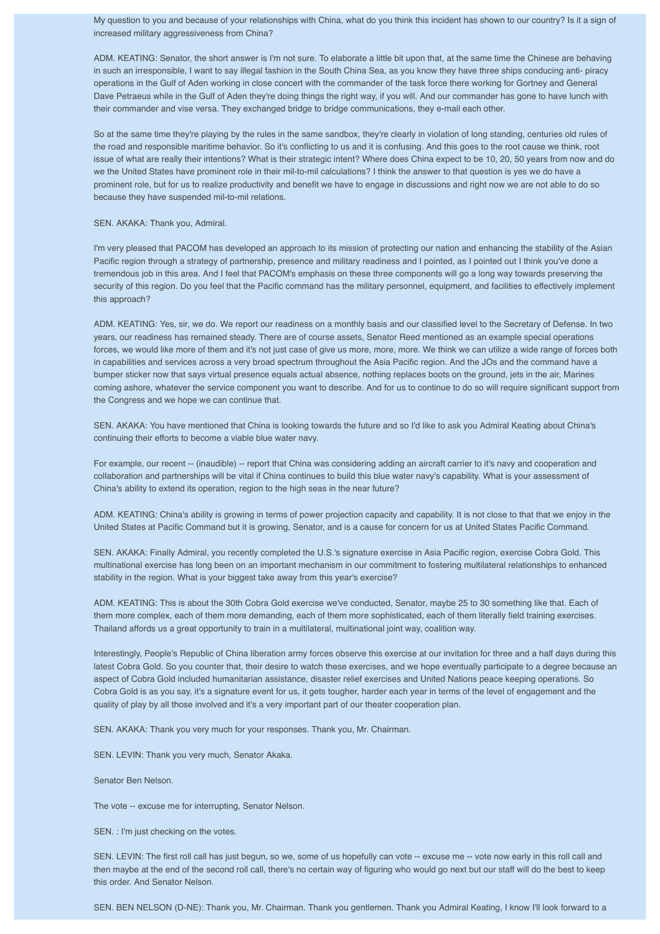My question to you and because of your relationships with China, what do you think this incident has shown to our country? Is it a sign of increased military aggressiveness from China?

ADM. KEATING: Senator, the short answer is I'm not sure. To elaborate a little bit upon that, at the same time the Chinese are behaving in such an irresponsible, I want to say illegal fashion in the South China Sea, as you know they have three ships conducing anti- piracy operations in the Gulf of Aden working in close concert with the commander of the task force there working for Gortney and General Dave Petraeus while in the Gulf of Aden they're doing things the right way, if you will. And our commander has gone to have lunch with their commander and vise versa. They exchanged bridge to bridge communications, they e-mail each other.

So at the same time they're playing by the rules in the same sandbox, they're clearly in violation of long standing, centuries old rules of the road and responsible maritime behavior. So it's conflicting to us and it is confusing. And this goes to the root cause we think, root issue of what are really their intentions? What is their strategic intent? Where does China expect to be 10, 20, 50 years from now and do we the United States have prominent role in their mil-to-mil calculations? I think the answer to that question is yes we do have a prominent role, but for us to realize productivity and benefit we have to engage in discussions and right now we are not able to do so because they have suspended mil-to-mil relations.

## SEN. AKAKA: Thank you, Admiral.

I'm very pleased that PACOM has developed an approach to its mission of protecting our nation and enhancing the stability of the Asian Pacific region through a strategy of partnership, presence and military readiness and I pointed, as I pointed out I think you've done a tremendous job in this area. And I feel that PACOM's emphasis on these three components will go a long way towards preserving the security of this region. Do you feel that the Pacific command has the military personnel, equipment, and facilities to effectively implement this approach?

ADM. KEATING: Yes, sir, we do. We report our readiness on a monthly basis and our classified level to the Secretary of Defense. In two years, our readiness has remained steady. There are of course assets, Senator Reed mentioned as an example special operations forces, we would like more of them and it's not just case of give us more, more, more. We think we can utilize a wide range of forces both in capabilities and services across a very broad spectrum throughout the Asia Pacific region. And the JOs and the command have a bumper sticker now that says virtual presence equals actual absence, nothing replaces boots on the ground, jets in the air, Marines coming ashore, whatever the service component you want to describe. And for us to continue to do so will require significant support from the Congress and we hope we can continue that.

SEN. AKAKA: You have mentioned that China is looking towards the future and so I'd like to ask you Admiral Keating about China's continuing their efforts to become a viable blue water navy.

For example, our recent -- (inaudible) -- report that China was considering adding an aircraft carrier to it's navy and cooperation and collaboration and partnerships will be vital if China continues to build this blue water navy's capability. What is your assessment of China's ability to extend its operation, region to the high seas in the near future?

ADM. KEATING: China's ability is growing in terms of power projection capacity and capability. It is not close to that that we enjoy in the United States at Pacific Command but it is growing, Senator, and is a cause for concern for us at United States Pacific Command.

SEN. AKAKA: Finally Admiral, you recently completed the U.S.'s signature exercise in Asia Pacific region, exercise Cobra Gold. This multinational exercise has long been on an important mechanism in our commitment to fostering multilateral relationships to enhanced stability in the region. What is your biggest take away from this year's exercise?

ADM. KEATING: This is about the 30th Cobra Gold exercise we've conducted, Senator, maybe 25 to 30 something like that. Each of them more complex, each of them more demanding, each of them more sophisticated, each of them literally field training exercises. Thailand affords us a great opportunity to train in a multilateral, multinational joint way, coalition way.

Interestingly, People's Republic of China liberation army forces observe this exercise at our invitation for three and a half days during this latest Cobra Gold. So you counter that, their desire to watch these exercises, and we hope eventually participate to a degree because an aspect of Cobra Gold included humanitarian assistance, disaster relief exercises and United Nations peace keeping operations. So Cobra Gold is as you say, it's a signature event for us, it gets tougher, harder each year in terms of the level of engagement and the quality of play by all those involved and it's a very important part of our theater cooperation plan.

SEN. AKAKA: Thank you very much for your responses. Thank you, Mr. Chairman.

SEN. LEVIN: Thank you very much, Senator Akaka.

Senator Ben Nelson.

The vote -- excuse me for interrupting, Senator Nelson.

SEN. : I'm just checking on the votes.

SEN. LEVIN: The first roll call has just begun, so we, some of us hopefully can vote -- excuse me -- vote now early in this roll call and then maybe at the end of the second roll call, there's no certain way of figuring who would go next but our staff will do the best to keep this order. And Senator Nelson.

SEN. BEN NELSON (D-NE): Thank you, Mr. Chairman. Thank you gentlemen. Thank you Admiral Keating, I know I'll look forward to a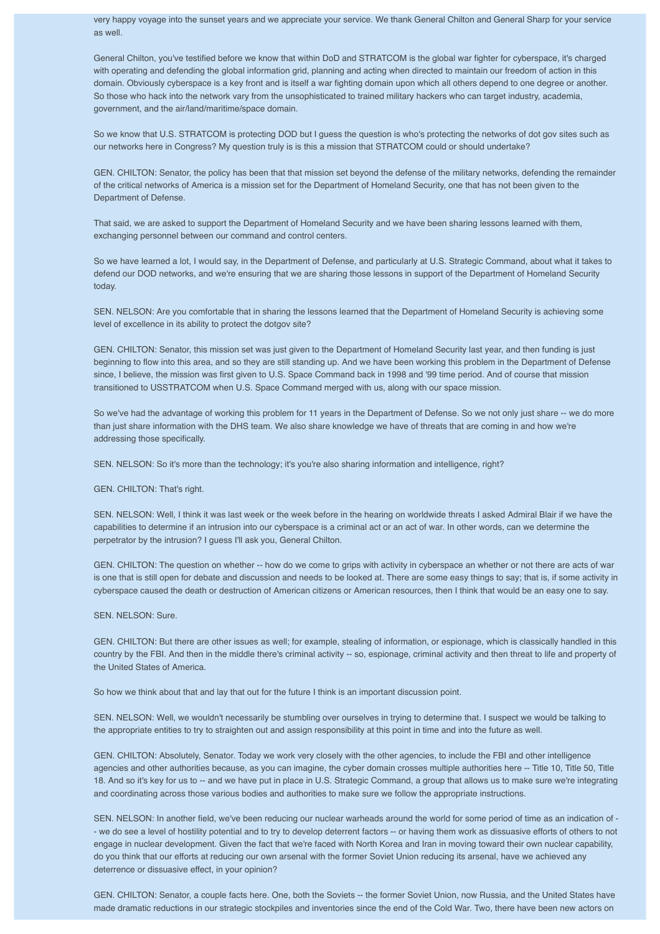very happy voyage into the sunset years and we appreciate your service. We thank General Chilton and General Sharp for your service as well.

General Chilton, you've testified before we know that within DoD and STRATCOM is the global war fighter for cyberspace, it's charged with operating and defending the global information grid, planning and acting when directed to maintain our freedom of action in this domain. Obviously cyberspace is a key front and is itself a war fighting domain upon which all others depend to one degree or another. So those who hack into the network vary from the unsophisticated to trained military hackers who can target industry, academia, government, and the air/land/maritime/space domain.

So we know that U.S. STRATCOM is protecting DOD but I guess the question is who's protecting the networks of dot gov sites such as our networks here in Congress? My question truly is is this a mission that STRATCOM could or should undertake?

GEN. CHILTON: Senator, the policy has been that that mission set beyond the defense of the military networks, defending the remainder of the critical networks of America is a mission set for the Department of Homeland Security, one that has not been given to the Department of Defense.

That said, we are asked to support the Department of Homeland Security and we have been sharing lessons learned with them, exchanging personnel between our command and control centers.

So we have learned a lot, I would say, in the Department of Defense, and particularly at U.S. Strategic Command, about what it takes to defend our DOD networks, and we're ensuring that we are sharing those lessons in support of the Department of Homeland Security today.

SEN. NELSON: Are you comfortable that in sharing the lessons learned that the Department of Homeland Security is achieving some level of excellence in its ability to protect the dotgov site?

GEN. CHILTON: Senator, this mission set was just given to the Department of Homeland Security last year, and then funding is just beginning to flow into this area, and so they are still standing up. And we have been working this problem in the Department of Defense since, I believe, the mission was first given to U.S. Space Command back in 1998 and '99 time period. And of course that mission transitioned to USSTRATCOM when U.S. Space Command merged with us, along with our space mission.

So we've had the advantage of working this problem for 11 years in the Department of Defense. So we not only just share -- we do more than just share information with the DHS team. We also share knowledge we have of threats that are coming in and how we're addressing those specifically.

SEN. NELSON: So it's more than the technology; it's you're also sharing information and intelligence, right?

GEN. CHILTON: That's right.

SEN. NELSON: Well, I think it was last week or the week before in the hearing on worldwide threats I asked Admiral Blair if we have the capabilities to determine if an intrusion into our cyberspace is a criminal act or an act of war. In other words, can we determine the perpetrator by the intrusion? I guess I'll ask you, General Chilton.

GEN. CHILTON: The question on whether -- how do we come to grips with activity in cyberspace an whether or not there are acts of war is one that is still open for debate and discussion and needs to be looked at. There are some easy things to say; that is, if some activity in cyberspace caused the death or destruction of American citizens or American resources, then I think that would be an easy one to say.

SEN. NELSON: Sure.

GEN. CHILTON: But there are other issues as well; for example, stealing of information, or espionage, which is classically handled in this country by the FBI. And then in the middle there's criminal activity -- so, espionage, criminal activity and then threat to life and property of the United States of America.

So how we think about that and lay that out for the future I think is an important discussion point.

SEN. NELSON: Well, we wouldn't necessarily be stumbling over ourselves in trying to determine that. I suspect we would be talking to the appropriate entities to try to straighten out and assign responsibility at this point in time and into the future as well.

GEN. CHILTON: Absolutely, Senator. Today we work very closely with the other agencies, to include the FBI and other intelligence agencies and other authorities because, as you can imagine, the cyber domain crosses multiple authorities here -- Title 10, Title 50, Title 18. And so it's key for us to -- and we have put in place in U.S. Strategic Command, a group that allows us to make sure we're integrating and coordinating across those various bodies and authorities to make sure we follow the appropriate instructions.

SEN. NELSON: In another field, we've been reducing our nuclear warheads around the world for some period of time as an indication of - - we do see a level of hostility potential and to try to develop deterrent factors -- or having them work as dissuasive efforts of others to not engage in nuclear development. Given the fact that we're faced with North Korea and Iran in moving toward their own nuclear capability, do you think that our efforts at reducing our own arsenal with the former Soviet Union reducing its arsenal, have we achieved any deterrence or dissuasive effect, in your opinion?

GEN. CHILTON: Senator, a couple facts here. One, both the Soviets -- the former Soviet Union, now Russia, and the United States have made dramatic reductions in our strategic stockpiles and inventories since the end of the Cold War. Two, there have been new actors on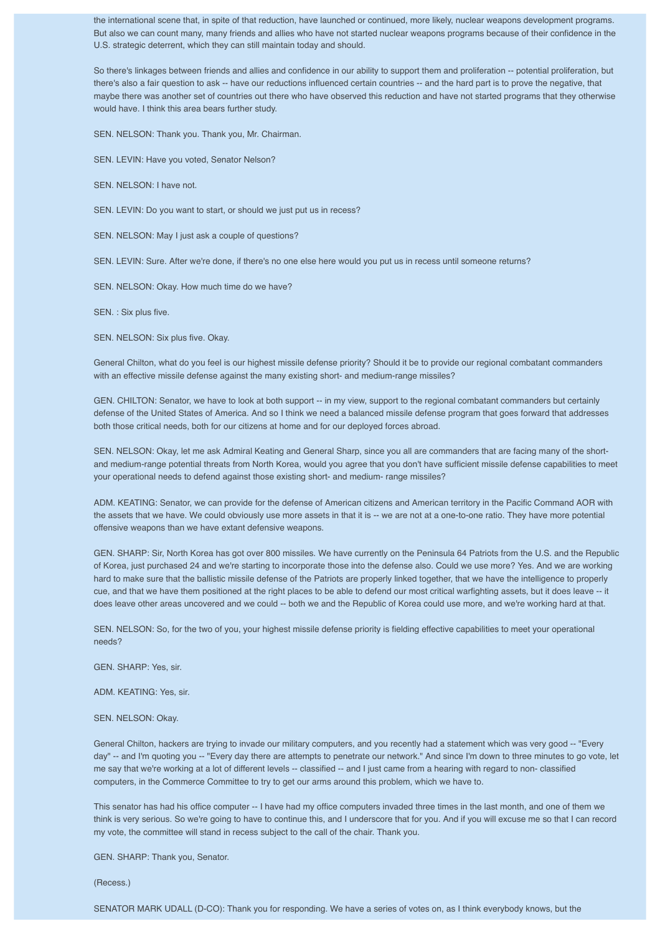the international scene that, in spite of that reduction, have launched or continued, more likely, nuclear weapons development programs. But also we can count many, many friends and allies who have not started nuclear weapons programs because of their confidence in the U.S. strategic deterrent, which they can still maintain today and should.

So there's linkages between friends and allies and confidence in our ability to support them and proliferation -- potential proliferation, but there's also a fair question to ask -- have our reductions influenced certain countries -- and the hard part is to prove the negative, that maybe there was another set of countries out there who have observed this reduction and have not started programs that they otherwise would have. I think this area bears further study.

SEN. NELSON: Thank you. Thank you, Mr. Chairman.

SEN. LEVIN: Have you voted, Senator Nelson?

SEN. NELSON: I have not.

SEN. LEVIN: Do you want to start, or should we just put us in recess?

SEN. NELSON: May I just ask a couple of questions?

SEN. LEVIN: Sure. After we're done, if there's no one else here would you put us in recess until someone returns?

SEN. NELSON: Okay. How much time do we have?

SEN. : Six plus five.

SEN. NELSON: Six plus five. Okay.

General Chilton, what do you feel is our highest missile defense priority? Should it be to provide our regional combatant commanders with an effective missile defense against the many existing short- and medium-range missiles?

GEN. CHILTON: Senator, we have to look at both support -- in my view, support to the regional combatant commanders but certainly defense of the United States of America. And so I think we need a balanced missile defense program that goes forward that addresses both those critical needs, both for our citizens at home and for our deployed forces abroad.

SEN. NELSON: Okay, let me ask Admiral Keating and General Sharp, since you all are commanders that are facing many of the shortand medium-range potential threats from North Korea, would you agree that you don't have sufficient missile defense capabilities to meet your operational needs to defend against those existing short- and medium- range missiles?

ADM. KEATING: Senator, we can provide for the defense of American citizens and American territory in the Pacific Command AOR with the assets that we have. We could obviously use more assets in that it is -- we are not at a one-to-one ratio. They have more potential offensive weapons than we have extant defensive weapons.

GEN. SHARP: Sir, North Korea has got over 800 missiles. We have currently on the Peninsula 64 Patriots from the U.S. and the Republic of Korea, just purchased 24 and we're starting to incorporate those into the defense also. Could we use more? Yes. And we are working hard to make sure that the ballistic missile defense of the Patriots are properly linked together, that we have the intelligence to properly cue, and that we have them positioned at the right places to be able to defend our most critical warfighting assets, but it does leave -- it does leave other areas uncovered and we could -- both we and the Republic of Korea could use more, and we're working hard at that.

SEN. NELSON: So, for the two of you, your highest missile defense priority is fielding effective capabilities to meet your operational needs?

GEN. SHARP: Yes, sir.

ADM. KEATING: Yes, sir.

SEN. NELSON: Okay.

General Chilton, hackers are trying to invade our military computers, and you recently had a statement which was very good -- "Every day" -- and I'm quoting you -- "Every day there are attempts to penetrate our network." And since I'm down to three minutes to go vote, let me say that we're working at a lot of different levels -- classified -- and I just came from a hearing with regard to non- classified computers, in the Commerce Committee to try to get our arms around this problem, which we have to.

This senator has had his office computer -- I have had my office computers invaded three times in the last month, and one of them we think is very serious. So we're going to have to continue this, and I underscore that for you. And if you will excuse me so that I can record my vote, the committee will stand in recess subject to the call of the chair. Thank you.

GEN. SHARP: Thank you, Senator.

(Recess.)

SENATOR MARK UDALL (D-CO): Thank you for responding. We have a series of votes on, as I think everybody knows, but the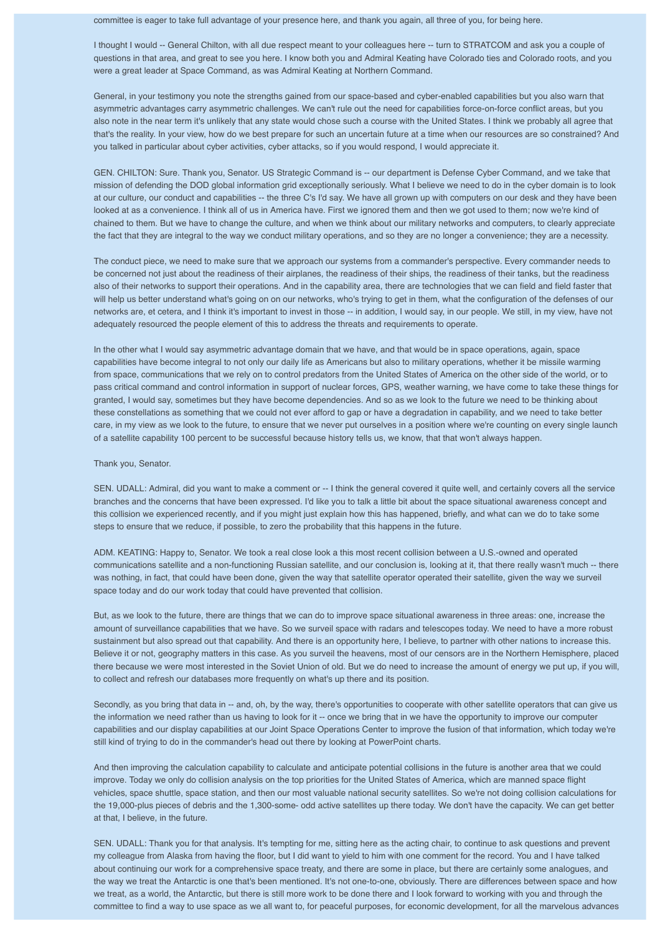committee is eager to take full advantage of your presence here, and thank you again, all three of you, for being here.

I thought I would -- General Chilton, with all due respect meant to your colleagues here -- turn to STRATCOM and ask you a couple of questions in that area, and great to see you here. I know both you and Admiral Keating have Colorado ties and Colorado roots, and you were a great leader at Space Command, as was Admiral Keating at Northern Command.

General, in your testimony you note the strengths gained from our space-based and cyber-enabled capabilities but you also warn that asymmetric advantages carry asymmetric challenges. We can't rule out the need for capabilities force-on-force conflict areas, but you also note in the near term it's unlikely that any state would chose such a course with the United States. I think we probably all agree that that's the reality. In your view, how do we best prepare for such an uncertain future at a time when our resources are so constrained? And you talked in particular about cyber activities, cyber attacks, so if you would respond, I would appreciate it.

GEN. CHILTON: Sure. Thank you, Senator. US Strategic Command is -- our department is Defense Cyber Command, and we take that mission of defending the DOD global information grid exceptionally seriously. What I believe we need to do in the cyber domain is to look at our culture, our conduct and capabilities -- the three C's I'd say. We have all grown up with computers on our desk and they have been looked at as a convenience. I think all of us in America have. First we ignored them and then we got used to them; now we're kind of chained to them. But we have to change the culture, and when we think about our military networks and computers, to clearly appreciate the fact that they are integral to the way we conduct military operations, and so they are no longer a convenience; they are a necessity.

The conduct piece, we need to make sure that we approach our systems from a commander's perspective. Every commander needs to be concerned not just about the readiness of their airplanes, the readiness of their ships, the readiness of their tanks, but the readiness also of their networks to support their operations. And in the capability area, there are technologies that we can field and field faster that will help us better understand what's going on on our networks, who's trying to get in them, what the configuration of the defenses of our networks are, et cetera, and I think it's important to invest in those -- in addition, I would say, in our people. We still, in my view, have not adequately resourced the people element of this to address the threats and requirements to operate.

In the other what I would say asymmetric advantage domain that we have, and that would be in space operations, again, space capabilities have become integral to not only our daily life as Americans but also to military operations, whether it be missile warming from space, communications that we rely on to control predators from the United States of America on the other side of the world, or to pass critical command and control information in support of nuclear forces, GPS, weather warning, we have come to take these things for granted, I would say, sometimes but they have become dependencies. And so as we look to the future we need to be thinking about these constellations as something that we could not ever afford to gap or have a degradation in capability, and we need to take better care, in my view as we look to the future, to ensure that we never put ourselves in a position where we're counting on every single launch of a satellite capability 100 percent to be successful because history tells us, we know, that that won't always happen.

#### Thank you, Senator.

SEN. UDALL: Admiral, did you want to make a comment or -- I think the general covered it quite well, and certainly covers all the service branches and the concerns that have been expressed. I'd like you to talk a little bit about the space situational awareness concept and this collision we experienced recently, and if you might just explain how this has happened, briefly, and what can we do to take some steps to ensure that we reduce, if possible, to zero the probability that this happens in the future.

ADM. KEATING: Happy to, Senator. We took a real close look a this most recent collision between a U.S.-owned and operated communications satellite and a non-functioning Russian satellite, and our conclusion is, looking at it, that there really wasn't much -- there was nothing, in fact, that could have been done, given the way that satellite operator operated their satellite, given the way we surveil space today and do our work today that could have prevented that collision.

But, as we look to the future, there are things that we can do to improve space situational awareness in three areas: one, increase the amount of surveillance capabilities that we have. So we surveil space with radars and telescopes today. We need to have a more robust sustainment but also spread out that capability. And there is an opportunity here, I believe, to partner with other nations to increase this. Believe it or not, geography matters in this case. As you surveil the heavens, most of our censors are in the Northern Hemisphere, placed there because we were most interested in the Soviet Union of old. But we do need to increase the amount of energy we put up, if you will, to collect and refresh our databases more frequently on what's up there and its position.

Secondly, as you bring that data in -- and, oh, by the way, there's opportunities to cooperate with other satellite operators that can give us the information we need rather than us having to look for it -- once we bring that in we have the opportunity to improve our computer capabilities and our display capabilities at our Joint Space Operations Center to improve the fusion of that information, which today we're still kind of trying to do in the commander's head out there by looking at PowerPoint charts.

And then improving the calculation capability to calculate and anticipate potential collisions in the future is another area that we could improve. Today we only do collision analysis on the top priorities for the United States of America, which are manned space flight vehicles, space shuttle, space station, and then our most valuable national security satellites. So we're not doing collision calculations for the 19,000-plus pieces of debris and the 1,300-some- odd active satellites up there today. We don't have the capacity. We can get better at that, I believe, in the future.

SEN. UDALL: Thank you for that analysis. It's tempting for me, sitting here as the acting chair, to continue to ask questions and prevent my colleague from Alaska from having the floor, but I did want to yield to him with one comment for the record. You and I have talked about continuing our work for a comprehensive space treaty, and there are some in place, but there are certainly some analogues, and the way we treat the Antarctic is one that's been mentioned. It's not one-to-one, obviously. There are differences between space and how we treat, as a world, the Antarctic, but there is still more work to be done there and I look forward to working with you and through the committee to find a way to use space as we all want to, for peaceful purposes, for economic development, for all the marvelous advances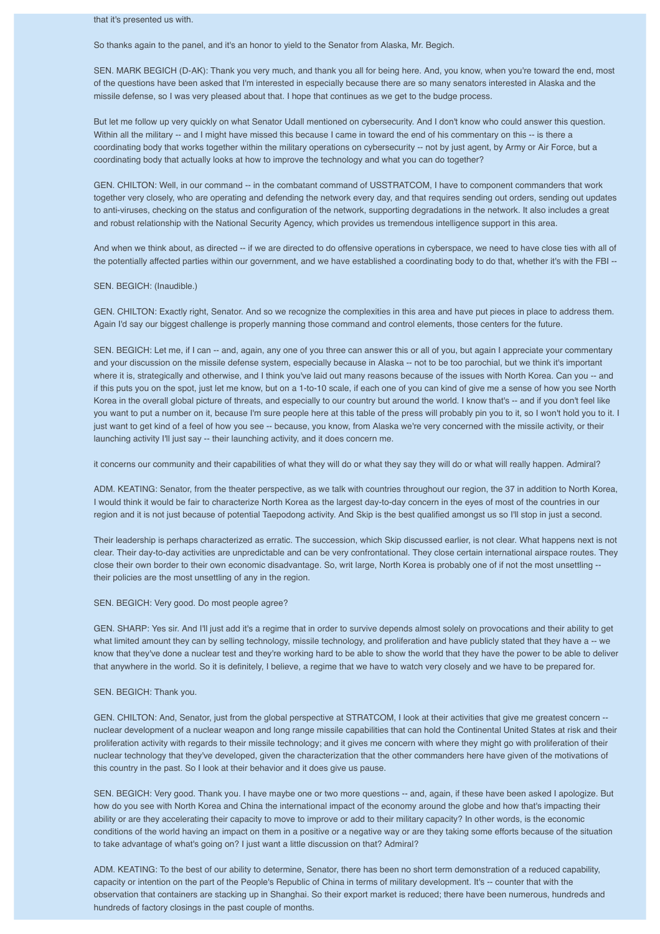## that it's presented us with.

So thanks again to the panel, and it's an honor to yield to the Senator from Alaska, Mr. Begich.

SEN. MARK BEGICH (D-AK): Thank you very much, and thank you all for being here. And, you know, when you're toward the end, most of the questions have been asked that I'm interested in especially because there are so many senators interested in Alaska and the missile defense, so I was very pleased about that. I hope that continues as we get to the budge process.

But let me follow up very quickly on what Senator Udall mentioned on cybersecurity. And I don't know who could answer this question. Within all the military -- and I might have missed this because I came in toward the end of his commentary on this -- is there a coordinating body that works together within the military operations on cybersecurity -- not by just agent, by Army or Air Force, but a coordinating body that actually looks at how to improve the technology and what you can do together?

GEN. CHILTON: Well, in our command -- in the combatant command of USSTRATCOM, I have to component commanders that work together very closely, who are operating and defending the network every day, and that requires sending out orders, sending out updates to anti-viruses, checking on the status and configuration of the network, supporting degradations in the network. It also includes a great and robust relationship with the National Security Agency, which provides us tremendous intelligence support in this area.

And when we think about, as directed -- if we are directed to do offensive operations in cyberspace, we need to have close ties with all of the potentially affected parties within our government, and we have established a coordinating body to do that, whether it's with the FBI --

## SEN. BEGICH: (Inaudible.)

GEN. CHILTON: Exactly right, Senator. And so we recognize the complexities in this area and have put pieces in place to address them. Again I'd say our biggest challenge is properly manning those command and control elements, those centers for the future.

SEN. BEGICH: Let me, if I can -- and, again, any one of you three can answer this or all of you, but again I appreciate your commentary and your discussion on the missile defense system, especially because in Alaska -- not to be too parochial, but we think it's important where it is, strategically and otherwise, and I think you've laid out many reasons because of the issues with North Korea. Can you -- and if this puts you on the spot, just let me know, but on a 1-to-10 scale, if each one of you can kind of give me a sense of how you see North Korea in the overall global picture of threats, and especially to our country but around the world. I know that's -- and if you don't feel like you want to put a number on it, because I'm sure people here at this table of the press will probably pin you to it, so I won't hold you to it. I just want to get kind of a feel of how you see -- because, you know, from Alaska we're very concerned with the missile activity, or their launching activity I'll just say -- their launching activity, and it does concern me.

it concerns our community and their capabilities of what they will do or what they say they will do or what will really happen. Admiral?

ADM. KEATING: Senator, from the theater perspective, as we talk with countries throughout our region, the 37 in addition to North Korea, I would think it would be fair to characterize North Korea as the largest day-to-day concern in the eyes of most of the countries in our region and it is not just because of potential Taepodong activity. And Skip is the best qualified amongst us so I'll stop in just a second.

Their leadership is perhaps characterized as erratic. The succession, which Skip discussed earlier, is not clear. What happens next is not clear. Their day-to-day activities are unpredictable and can be very confrontational. They close certain international airspace routes. They close their own border to their own economic disadvantage. So, writ large, North Korea is probably one of if not the most unsettling - their policies are the most unsettling of any in the region.

#### SEN. BEGICH: Very good. Do most people agree?

GEN. SHARP: Yes sir. And I'll just add it's a regime that in order to survive depends almost solely on provocations and their ability to get what limited amount they can by selling technology, missile technology, and proliferation and have publicly stated that they have a -- we know that they've done a nuclear test and they're working hard to be able to show the world that they have the power to be able to deliver that anywhere in the world. So it is definitely, I believe, a regime that we have to watch very closely and we have to be prepared for.

## SEN. BEGICH: Thank you.

GEN. CHILTON: And, Senator, just from the global perspective at STRATCOM, I look at their activities that give me greatest concern - nuclear development of a nuclear weapon and long range missile capabilities that can hold the Continental United States at risk and their proliferation activity with regards to their missile technology; and it gives me concern with where they might go with proliferation of their nuclear technology that they've developed, given the characterization that the other commanders here have given of the motivations of this country in the past. So I look at their behavior and it does give us pause.

SEN. BEGICH: Very good. Thank you. I have maybe one or two more questions -- and, again, if these have been asked I apologize. But how do you see with North Korea and China the international impact of the economy around the globe and how that's impacting their ability or are they accelerating their capacity to move to improve or add to their military capacity? In other words, is the economic conditions of the world having an impact on them in a positive or a negative way or are they taking some efforts because of the situation to take advantage of what's going on? I just want a little discussion on that? Admiral?

ADM. KEATING: To the best of our ability to determine, Senator, there has been no short term demonstration of a reduced capability, capacity or intention on the part of the People's Republic of China in terms of military development. It's -- counter that with the observation that containers are stacking up in Shanghai. So their export market is reduced; there have been numerous, hundreds and hundreds of factory closings in the past couple of months.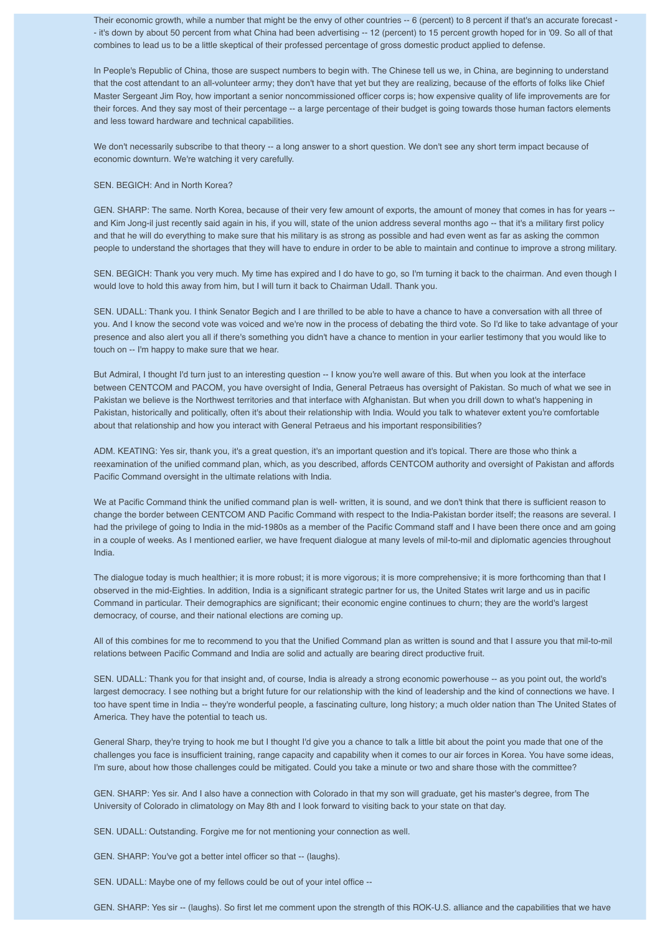Their economic growth, while a number that might be the envy of other countries -- 6 (percent) to 8 percent if that's an accurate forecast -- it's down by about 50 percent from what China had been advertising -- 12 (percent) to 15 percent growth hoped for in '09. So all of that combines to lead us to be a little skeptical of their professed percentage of gross domestic product applied to defense.

In People's Republic of China, those are suspect numbers to begin with. The Chinese tell us we, in China, are beginning to understand that the cost attendant to an all-volunteer army; they don't have that yet but they are realizing, because of the efforts of folks like Chief Master Sergeant Jim Roy, how important a senior noncommissioned officer corps is; how expensive quality of life improvements are for their forces. And they say most of their percentage -- a large percentage of their budget is going towards those human factors elements and less toward hardware and technical capabilities.

We don't necessarily subscribe to that theory -- a long answer to a short question. We don't see any short term impact because of economic downturn. We're watching it very carefully.

## SEN. BEGICH: And in North Korea?

GEN. SHARP: The same. North Korea, because of their very few amount of exports, the amount of money that comes in has for years - and Kim Jong-il just recently said again in his, if you will, state of the union address several months ago -- that it's a military first policy and that he will do everything to make sure that his military is as strong as possible and had even went as far as asking the common people to understand the shortages that they will have to endure in order to be able to maintain and continue to improve a strong military.

SEN. BEGICH: Thank you very much. My time has expired and I do have to go, so I'm turning it back to the chairman. And even though I would love to hold this away from him, but I will turn it back to Chairman Udall. Thank you.

SEN. UDALL: Thank you. I think Senator Begich and I are thrilled to be able to have a chance to have a conversation with all three of you. And I know the second vote was voiced and we're now in the process of debating the third vote. So I'd like to take advantage of your presence and also alert you all if there's something you didn't have a chance to mention in your earlier testimony that you would like to touch on -- I'm happy to make sure that we hear.

But Admiral, I thought I'd turn just to an interesting question -- I know you're well aware of this. But when you look at the interface between CENTCOM and PACOM, you have oversight of India, General Petraeus has oversight of Pakistan. So much of what we see in Pakistan we believe is the Northwest territories and that interface with Afghanistan. But when you drill down to what's happening in Pakistan, historically and politically, often it's about their relationship with India. Would you talk to whatever extent you're comfortable about that relationship and how you interact with General Petraeus and his important responsibilities?

ADM. KEATING: Yes sir, thank you, it's a great question, it's an important question and it's topical. There are those who think a reexamination of the unified command plan, which, as you described, affords CENTCOM authority and oversight of Pakistan and affords Pacific Command oversight in the ultimate relations with India.

We at Pacific Command think the unified command plan is well- written, it is sound, and we don't think that there is sufficient reason to change the border between CENTCOM AND Pacific Command with respect to the India-Pakistan border itself; the reasons are several. I had the privilege of going to India in the mid-1980s as a member of the Pacific Command staff and I have been there once and am going in a couple of weeks. As I mentioned earlier, we have frequent dialogue at many levels of mil-to-mil and diplomatic agencies throughout India.

The dialogue today is much healthier; it is more robust; it is more vigorous; it is more comprehensive; it is more forthcoming than that I observed in the mid-Eighties. In addition, India is a significant strategic partner for us, the United States writ large and us in pacific Command in particular. Their demographics are significant; their economic engine continues to churn; they are the world's largest democracy, of course, and their national elections are coming up.

All of this combines for me to recommend to you that the Unified Command plan as written is sound and that I assure you that mil-to-mil relations between Pacific Command and India are solid and actually are bearing direct productive fruit.

SEN. UDALL: Thank you for that insight and, of course, India is already a strong economic powerhouse -- as you point out, the world's largest democracy. I see nothing but a bright future for our relationship with the kind of leadership and the kind of connections we have. I too have spent time in India -- they're wonderful people, a fascinating culture, long history; a much older nation than The United States of America. They have the potential to teach us.

General Sharp, they're trying to hook me but I thought I'd give you a chance to talk a little bit about the point you made that one of the challenges you face is insufficient training, range capacity and capability when it comes to our air forces in Korea. You have some ideas, I'm sure, about how those challenges could be mitigated. Could you take a minute or two and share those with the committee?

GEN. SHARP: Yes sir. And I also have a connection with Colorado in that my son will graduate, get his master's degree, from The University of Colorado in climatology on May 8th and I look forward to visiting back to your state on that day.

SEN. UDALL: Outstanding. Forgive me for not mentioning your connection as well.

GEN. SHARP: You've got a better intel officer so that -- (laughs).

SEN. UDALL: Maybe one of my fellows could be out of your intel office --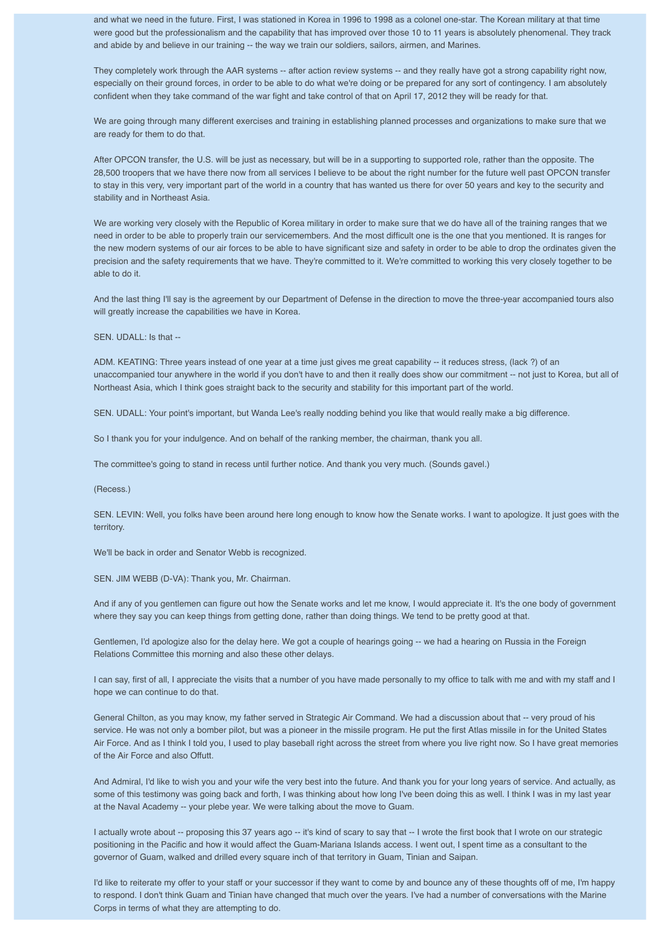and what we need in the future. First, I was stationed in Korea in 1996 to 1998 as a colonel one-star. The Korean military at that time were good but the professionalism and the capability that has improved over those 10 to 11 years is absolutely phenomenal. They track and abide by and believe in our training -- the way we train our soldiers, sailors, airmen, and Marines.

They completely work through the AAR systems -- after action review systems -- and they really have got a strong capability right now, especially on their ground forces, in order to be able to do what we're doing or be prepared for any sort of contingency. I am absolutely confident when they take command of the war fight and take control of that on April 17, 2012 they will be ready for that.

We are going through many different exercises and training in establishing planned processes and organizations to make sure that we are ready for them to do that.

After OPCON transfer, the U.S. will be just as necessary, but will be in a supporting to supported role, rather than the opposite. The 28,500 troopers that we have there now from all services I believe to be about the right number for the future well past OPCON transfer to stay in this very, very important part of the world in a country that has wanted us there for over 50 years and key to the security and stability and in Northeast Asia.

We are working very closely with the Republic of Korea military in order to make sure that we do have all of the training ranges that we need in order to be able to properly train our servicemembers. And the most difficult one is the one that you mentioned. It is ranges for the new modern systems of our air forces to be able to have significant size and safety in order to be able to drop the ordinates given the precision and the safety requirements that we have. They're committed to it. We're committed to working this very closely together to be able to do it.

And the last thing I'll say is the agreement by our Department of Defense in the direction to move the three-year accompanied tours also will greatly increase the capabilities we have in Korea.

SEN. UDALL: Is that --

ADM. KEATING: Three years instead of one year at a time just gives me great capability -- it reduces stress, (lack ?) of an unaccompanied tour anywhere in the world if you don't have to and then it really does show our commitment -- not just to Korea, but all of Northeast Asia, which I think goes straight back to the security and stability for this important part of the world.

SEN. UDALL: Your point's important, but Wanda Lee's really nodding behind you like that would really make a big difference.

So I thank you for your indulgence. And on behalf of the ranking member, the chairman, thank you all.

The committee's going to stand in recess until further notice. And thank you very much. (Sounds gavel.)

(Recess.)

SEN. LEVIN: Well, you folks have been around here long enough to know how the Senate works. I want to apologize. It just goes with the territory.

We'll be back in order and Senator Webb is recognized.

SEN. JIM WEBB (D-VA): Thank you, Mr. Chairman.

And if any of you gentlemen can figure out how the Senate works and let me know, I would appreciate it. It's the one body of government where they say you can keep things from getting done, rather than doing things. We tend to be pretty good at that.

Gentlemen, I'd apologize also for the delay here. We got a couple of hearings going -- we had a hearing on Russia in the Foreign Relations Committee this morning and also these other delays.

I can say, first of all, I appreciate the visits that a number of you have made personally to my office to talk with me and with my staff and I hope we can continue to do that.

General Chilton, as you may know, my father served in Strategic Air Command. We had a discussion about that -- very proud of his service. He was not only a bomber pilot, but was a pioneer in the missile program. He put the first Atlas missile in for the United States Air Force. And as I think I told you, I used to play baseball right across the street from where you live right now. So I have great memories of the Air Force and also Offutt.

And Admiral, I'd like to wish you and your wife the very best into the future. And thank you for your long years of service. And actually, as some of this testimony was going back and forth, I was thinking about how long I've been doing this as well. I think I was in my last year at the Naval Academy -- your plebe year. We were talking about the move to Guam.

I actually wrote about -- proposing this 37 years ago -- it's kind of scary to say that -- I wrote the first book that I wrote on our strategic positioning in the Pacific and how it would affect the Guam-Mariana Islands access. I went out, I spent time as a consultant to the governor of Guam, walked and drilled every square inch of that territory in Guam, Tinian and Saipan.

I'd like to reiterate my offer to your staff or your successor if they want to come by and bounce any of these thoughts off of me, I'm happy to respond. I don't think Guam and Tinian have changed that much over the years. I've had a number of conversations with the Marine Corps in terms of what they are attempting to do.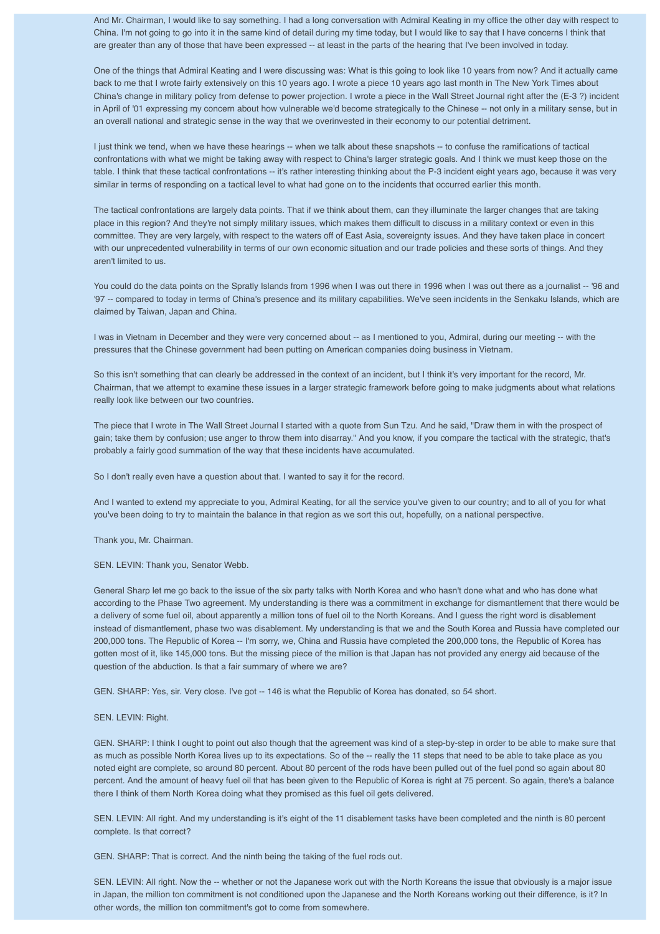And Mr. Chairman, I would like to say something. I had a long conversation with Admiral Keating in my office the other day with respect to China. I'm not going to go into it in the same kind of detail during my time today, but I would like to say that I have concerns I think that are greater than any of those that have been expressed -- at least in the parts of the hearing that I've been involved in today.

One of the things that Admiral Keating and I were discussing was: What is this going to look like 10 years from now? And it actually came back to me that I wrote fairly extensively on this 10 years ago. I wrote a piece 10 years ago last month in The New York Times about China's change in military policy from defense to power projection. I wrote a piece in the Wall Street Journal right after the (E-3 ?) incident in April of '01 expressing my concern about how vulnerable we'd become strategically to the Chinese -- not only in a military sense, but in an overall national and strategic sense in the way that we overinvested in their economy to our potential detriment.

I just think we tend, when we have these hearings -- when we talk about these snapshots -- to confuse the ramifications of tactical confrontations with what we might be taking away with respect to China's larger strategic goals. And I think we must keep those on the table. I think that these tactical confrontations -- it's rather interesting thinking about the P-3 incident eight years ago, because it was very similar in terms of responding on a tactical level to what had gone on to the incidents that occurred earlier this month.

The tactical confrontations are largely data points. That if we think about them, can they illuminate the larger changes that are taking place in this region? And they're not simply military issues, which makes them difficult to discuss in a military context or even in this committee. They are very largely, with respect to the waters off of East Asia, sovereignty issues. And they have taken place in concert with our unprecedented vulnerability in terms of our own economic situation and our trade policies and these sorts of things. And they aren't limited to us.

You could do the data points on the Spratly Islands from 1996 when I was out there in 1996 when I was out there as a journalist -- '96 and '97 -- compared to today in terms of China's presence and its military capabilities. We've seen incidents in the Senkaku Islands, which are claimed by Taiwan, Japan and China.

I was in Vietnam in December and they were very concerned about -- as I mentioned to you, Admiral, during our meeting -- with the pressures that the Chinese government had been putting on American companies doing business in Vietnam.

So this isn't something that can clearly be addressed in the context of an incident, but I think it's very important for the record, Mr. Chairman, that we attempt to examine these issues in a larger strategic framework before going to make judgments about what relations really look like between our two countries.

The piece that I wrote in The Wall Street Journal I started with a quote from Sun Tzu. And he said, "Draw them in with the prospect of gain; take them by confusion; use anger to throw them into disarray." And you know, if you compare the tactical with the strategic, that's probably a fairly good summation of the way that these incidents have accumulated.

So I don't really even have a question about that. I wanted to say it for the record.

And I wanted to extend my appreciate to you, Admiral Keating, for all the service you've given to our country; and to all of you for what you've been doing to try to maintain the balance in that region as we sort this out, hopefully, on a national perspective.

Thank you, Mr. Chairman.

SEN. LEVIN: Thank you, Senator Webb.

General Sharp let me go back to the issue of the six party talks with North Korea and who hasn't done what and who has done what according to the Phase Two agreement. My understanding is there was a commitment in exchange for dismantlement that there would be a delivery of some fuel oil, about apparently a million tons of fuel oil to the North Koreans. And I guess the right word is disablement instead of dismantlement, phase two was disablement. My understanding is that we and the South Korea and Russia have completed our 200,000 tons. The Republic of Korea -- I'm sorry, we, China and Russia have completed the 200,000 tons, the Republic of Korea has gotten most of it, like 145,000 tons. But the missing piece of the million is that Japan has not provided any energy aid because of the question of the abduction. Is that a fair summary of where we are?

GEN. SHARP: Yes, sir. Very close. I've got -- 146 is what the Republic of Korea has donated, so 54 short.

## SEN. LEVIN: Right.

GEN. SHARP: I think I ought to point out also though that the agreement was kind of a step-by-step in order to be able to make sure that as much as possible North Korea lives up to its expectations. So of the -- really the 11 steps that need to be able to take place as you noted eight are complete, so around 80 percent. About 80 percent of the rods have been pulled out of the fuel pond so again about 80 percent. And the amount of heavy fuel oil that has been given to the Republic of Korea is right at 75 percent. So again, there's a balance there I think of them North Korea doing what they promised as this fuel oil gets delivered.

SEN. LEVIN: All right. And my understanding is it's eight of the 11 disablement tasks have been completed and the ninth is 80 percent complete. Is that correct?

GEN. SHARP: That is correct. And the ninth being the taking of the fuel rods out.

SEN. LEVIN: All right. Now the -- whether or not the Japanese work out with the North Koreans the issue that obviously is a major issue in Japan, the million ton commitment is not conditioned upon the Japanese and the North Koreans working out their difference, is it? In other words, the million ton commitment's got to come from somewhere.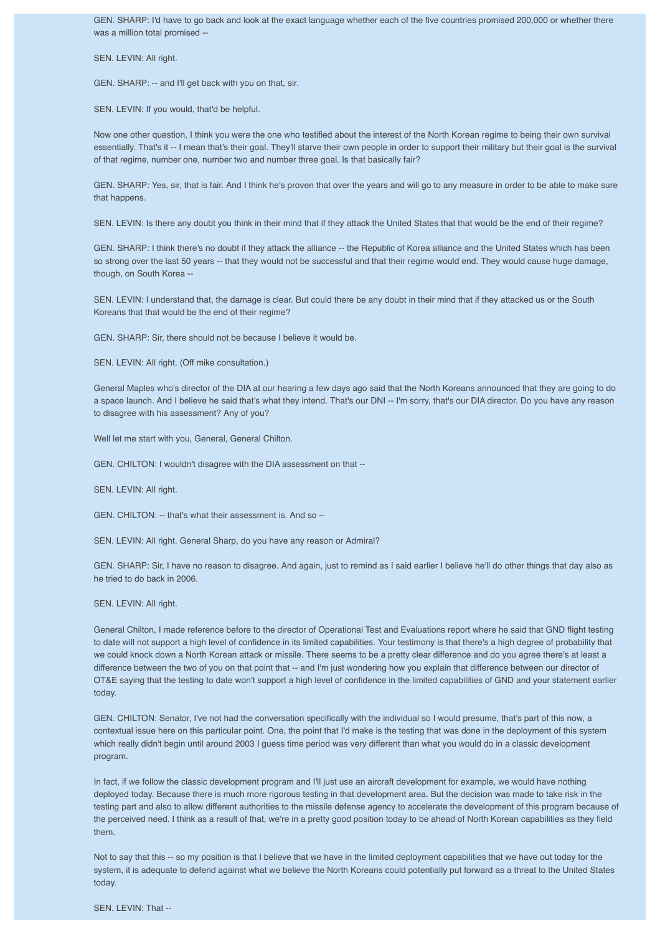GEN. SHARP: I'd have to go back and look at the exact language whether each of the five countries promised 200,000 or whether there was a million total promised --

SEN. LEVIN: All right.

GEN. SHARP: -- and I'll get back with you on that, sir.

SEN. LEVIN: If you would, that'd be helpful.

Now one other question, I think you were the one who testified about the interest of the North Korean regime to being their own survival essentially. That's it -- I mean that's their goal. They'll starve their own people in order to support their military but their goal is the survival of that regime, number one, number two and number three goal. Is that basically fair?

GEN. SHARP: Yes, sir, that is fair. And I think he's proven that over the years and will go to any measure in order to be able to make sure that happens.

SEN. LEVIN: Is there any doubt you think in their mind that if they attack the United States that that would be the end of their regime?

GEN. SHARP: I think there's no doubt if they attack the alliance -- the Republic of Korea alliance and the United States which has been so strong over the last 50 years -- that they would not be successful and that their regime would end. They would cause huge damage, though, on South Korea --

SEN. LEVIN: I understand that, the damage is clear. But could there be any doubt in their mind that if they attacked us or the South Koreans that that would be the end of their regime?

GEN. SHARP: Sir, there should not be because I believe it would be.

SEN. LEVIN: All right. (Off mike consultation.)

General Maples who's director of the DIA at our hearing a few days ago said that the North Koreans announced that they are going to do a space launch. And I believe he said that's what they intend. That's our DNI -- I'm sorry, that's our DIA director. Do you have any reason to disagree with his assessment? Any of you?

Well let me start with you, General, General Chilton.

GEN. CHILTON: I wouldn't disagree with the DIA assessment on that --

SEN. LEVIN: All right.

GEN. CHILTON: -- that's what their assessment is. And so --

SEN. LEVIN: All right. General Sharp, do you have any reason or Admiral?

GEN. SHARP: Sir, I have no reason to disagree. And again, just to remind as I said earlier I believe he'll do other things that day also as he tried to do back in 2006.

SEN. LEVIN: All right.

General Chilton, I made reference before to the director of Operational Test and Evaluations report where he said that GND flight testing to date will not support a high level of confidence in its limited capabilities. Your testimony is that there's a high degree of probability that we could knock down a North Korean attack or missile. There seems to be a pretty clear difference and do you agree there's at least a difference between the two of you on that point that -- and I'm just wondering how you explain that difference between our director of OT&E saying that the testing to date won't support a high level of confidence in the limited capabilities of GND and your statement earlier today.

GEN. CHILTON: Senator, I've not had the conversation specifically with the individual so I would presume, that's part of this now, a contextual issue here on this particular point. One, the point that I'd make is the testing that was done in the deployment of this system which really didn't begin until around 2003 I guess time period was very different than what you would do in a classic development program.

In fact, if we follow the classic development program and I'll just use an aircraft development for example, we would have nothing deployed today. Because there is much more rigorous testing in that development area. But the decision was made to take risk in the testing part and also to allow different authorities to the missile defense agency to accelerate the development of this program because of the perceived need. I think as a result of that, we're in a pretty good position today to be ahead of North Korean capabilities as they field them.

Not to say that this -- so my position is that I believe that we have in the limited deployment capabilities that we have out today for the system, it is adequate to defend against what we believe the North Koreans could potentially put forward as a threat to the United States today.

SFN. I FVIN: That --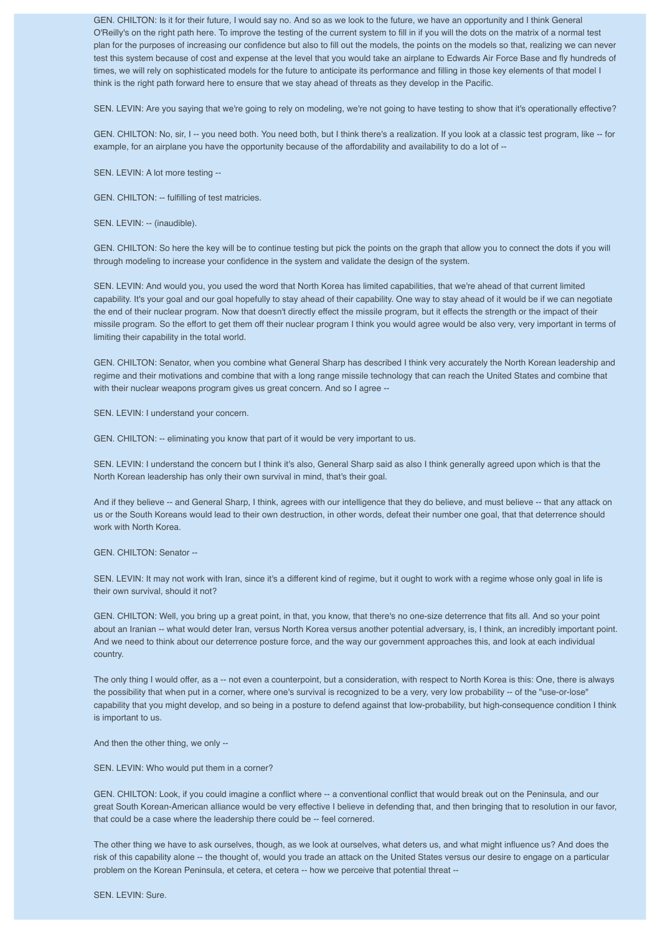GEN. CHILTON: Is it for their future, I would say no. And so as we look to the future, we have an opportunity and I think General O'Reilly's on the right path here. To improve the testing of the current system to fill in if you will the dots on the matrix of a normal test plan for the purposes of increasing our confidence but also to fill out the models, the points on the models so that, realizing we can never test this system because of cost and expense at the level that you would take an airplane to Edwards Air Force Base and fly hundreds of times, we will rely on sophisticated models for the future to anticipate its performance and filling in those key elements of that model I think is the right path forward here to ensure that we stay ahead of threats as they develop in the Pacific.

SEN. LEVIN: Are you saying that we're going to rely on modeling, we're not going to have testing to show that it's operationally effective?

GEN. CHILTON: No, sir, I -- you need both. You need both, but I think there's a realization. If you look at a classic test program, like -- for example, for an airplane you have the opportunity because of the affordability and availability to do a lot of --

SEN. LEVIN: A lot more testing --

GEN. CHILTON: -- fulfilling of test matricies.

SEN. LEVIN: -- (inaudible).

GEN. CHILTON: So here the key will be to continue testing but pick the points on the graph that allow you to connect the dots if you will through modeling to increase your confidence in the system and validate the design of the system.

SEN. LEVIN: And would you, you used the word that North Korea has limited capabilities, that we're ahead of that current limited capability. It's your goal and our goal hopefully to stay ahead of their capability. One way to stay ahead of it would be if we can negotiate the end of their nuclear program. Now that doesn't directly effect the missile program, but it effects the strength or the impact of their missile program. So the effort to get them off their nuclear program I think you would agree would be also very, very important in terms of limiting their capability in the total world.

GEN. CHILTON: Senator, when you combine what General Sharp has described I think very accurately the North Korean leadership and regime and their motivations and combine that with a long range missile technology that can reach the United States and combine that with their nuclear weapons program gives us great concern. And so I agree --

SEN. LEVIN: I understand your concern.

GEN. CHILTON: -- eliminating you know that part of it would be very important to us.

SEN. LEVIN: I understand the concern but I think it's also, General Sharp said as also I think generally agreed upon which is that the North Korean leadership has only their own survival in mind, that's their goal.

And if they believe -- and General Sharp, I think, agrees with our intelligence that they do believe, and must believe -- that any attack on us or the South Koreans would lead to their own destruction, in other words, defeat their number one goal, that that deterrence should work with North Korea.

GEN. CHILTON: Senator --

SEN. LEVIN: It may not work with Iran, since it's a different kind of regime, but it ought to work with a regime whose only goal in life is their own survival, should it not?

GEN. CHILTON: Well, you bring up a great point, in that, you know, that there's no one-size deterrence that fits all. And so your point about an Iranian -- what would deter Iran, versus North Korea versus another potential adversary, is, I think, an incredibly important point. And we need to think about our deterrence posture force, and the way our government approaches this, and look at each individual country.

The only thing I would offer, as a -- not even a counterpoint, but a consideration, with respect to North Korea is this: One, there is always the possibility that when put in a corner, where one's survival is recognized to be a very, very low probability -- of the "use-or-lose" capability that you might develop, and so being in a posture to defend against that low-probability, but high-consequence condition I think is important to us.

And then the other thing, we only --

SEN. LEVIN: Who would put them in a corner?

GEN. CHILTON: Look, if you could imagine a conflict where -- a conventional conflict that would break out on the Peninsula, and our great South Korean-American alliance would be very effective I believe in defending that, and then bringing that to resolution in our favor, that could be a case where the leadership there could be -- feel cornered.

The other thing we have to ask ourselves, though, as we look at ourselves, what deters us, and what might influence us? And does the risk of this capability alone -- the thought of, would you trade an attack on the United States versus our desire to engage on a particular problem on the Korean Peninsula, et cetera, et cetera -- how we perceive that potential threat --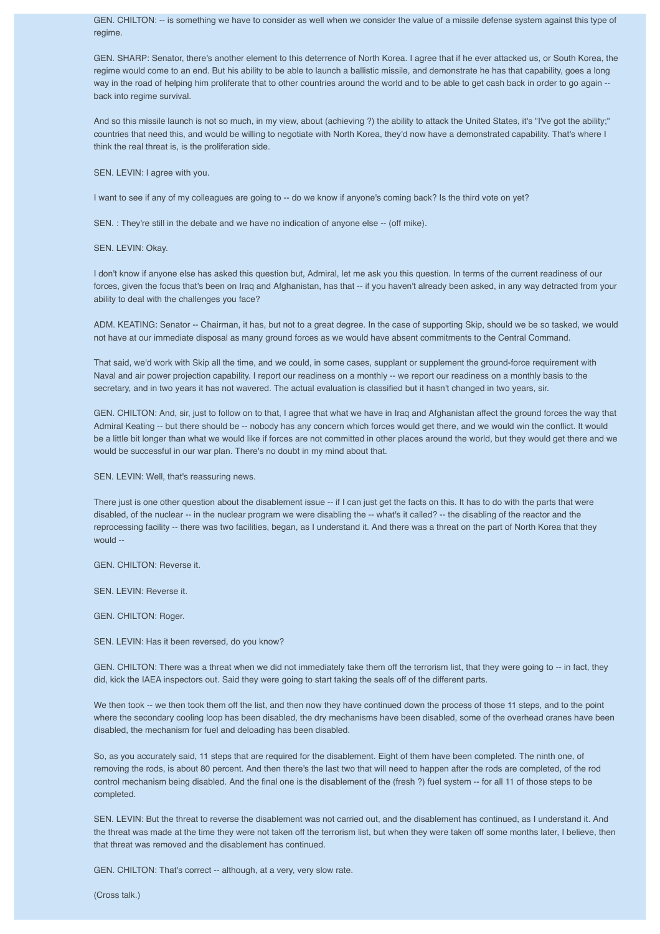GEN. CHILTON: -- is something we have to consider as well when we consider the value of a missile defense system against this type of regime.

GEN. SHARP: Senator, there's another element to this deterrence of North Korea. I agree that if he ever attacked us, or South Korea, the regime would come to an end. But his ability to be able to launch a ballistic missile, and demonstrate he has that capability, goes a long way in the road of helping him proliferate that to other countries around the world and to be able to get cash back in order to go again -back into regime survival.

And so this missile launch is not so much, in my view, about (achieving ?) the ability to attack the United States, it's "I've got the ability;" countries that need this, and would be willing to negotiate with North Korea, they'd now have a demonstrated capability. That's where I think the real threat is, is the proliferation side.

SEN. LEVIN: I agree with you.

I want to see if any of my colleagues are going to -- do we know if anyone's coming back? Is the third vote on yet?

SEN. : They're still in the debate and we have no indication of anyone else -- (off mike).

SEN. LEVIN: Okay.

I don't know if anyone else has asked this question but, Admiral, let me ask you this question. In terms of the current readiness of our forces, given the focus that's been on Iraq and Afghanistan, has that -- if you haven't already been asked, in any way detracted from your ability to deal with the challenges you face?

ADM. KEATING: Senator -- Chairman, it has, but not to a great degree. In the case of supporting Skip, should we be so tasked, we would not have at our immediate disposal as many ground forces as we would have absent commitments to the Central Command.

That said, we'd work with Skip all the time, and we could, in some cases, supplant or supplement the ground-force requirement with Naval and air power projection capability. I report our readiness on a monthly -- we report our readiness on a monthly basis to the secretary, and in two years it has not wavered. The actual evaluation is classified but it hasn't changed in two years, sir.

GEN. CHILTON: And, sir, just to follow on to that, I agree that what we have in Iraq and Afghanistan affect the ground forces the way that Admiral Keating -- but there should be -- nobody has any concern which forces would get there, and we would win the conflict. It would be a little bit longer than what we would like if forces are not committed in other places around the world, but they would get there and we would be successful in our war plan. There's no doubt in my mind about that.

SEN. LEVIN: Well, that's reassuring news.

There just is one other question about the disablement issue -- if I can just get the facts on this. It has to do with the parts that were disabled, of the nuclear -- in the nuclear program we were disabling the -- what's it called? -- the disabling of the reactor and the reprocessing facility -- there was two facilities, began, as I understand it. And there was a threat on the part of North Korea that they would --

GEN. CHILTON: Reverse it.

SEN. LEVIN: Reverse it.

GEN. CHILTON: Roger.

SEN. LEVIN: Has it been reversed, do you know?

GEN. CHILTON: There was a threat when we did not immediately take them off the terrorism list, that they were going to -- in fact, they did, kick the IAEA inspectors out. Said they were going to start taking the seals off of the different parts.

We then took -- we then took them off the list, and then now they have continued down the process of those 11 steps, and to the point where the secondary cooling loop has been disabled, the dry mechanisms have been disabled, some of the overhead cranes have been disabled, the mechanism for fuel and deloading has been disabled.

So, as you accurately said, 11 steps that are required for the disablement. Eight of them have been completed. The ninth one, of removing the rods, is about 80 percent. And then there's the last two that will need to happen after the rods are completed, of the rod control mechanism being disabled. And the final one is the disablement of the (fresh ?) fuel system -- for all 11 of those steps to be completed.

SEN. LEVIN: But the threat to reverse the disablement was not carried out, and the disablement has continued, as I understand it. And the threat was made at the time they were not taken off the terrorism list, but when they were taken off some months later, I believe, then that threat was removed and the disablement has continued.

GEN. CHILTON: That's correct -- although, at a very, very slow rate.